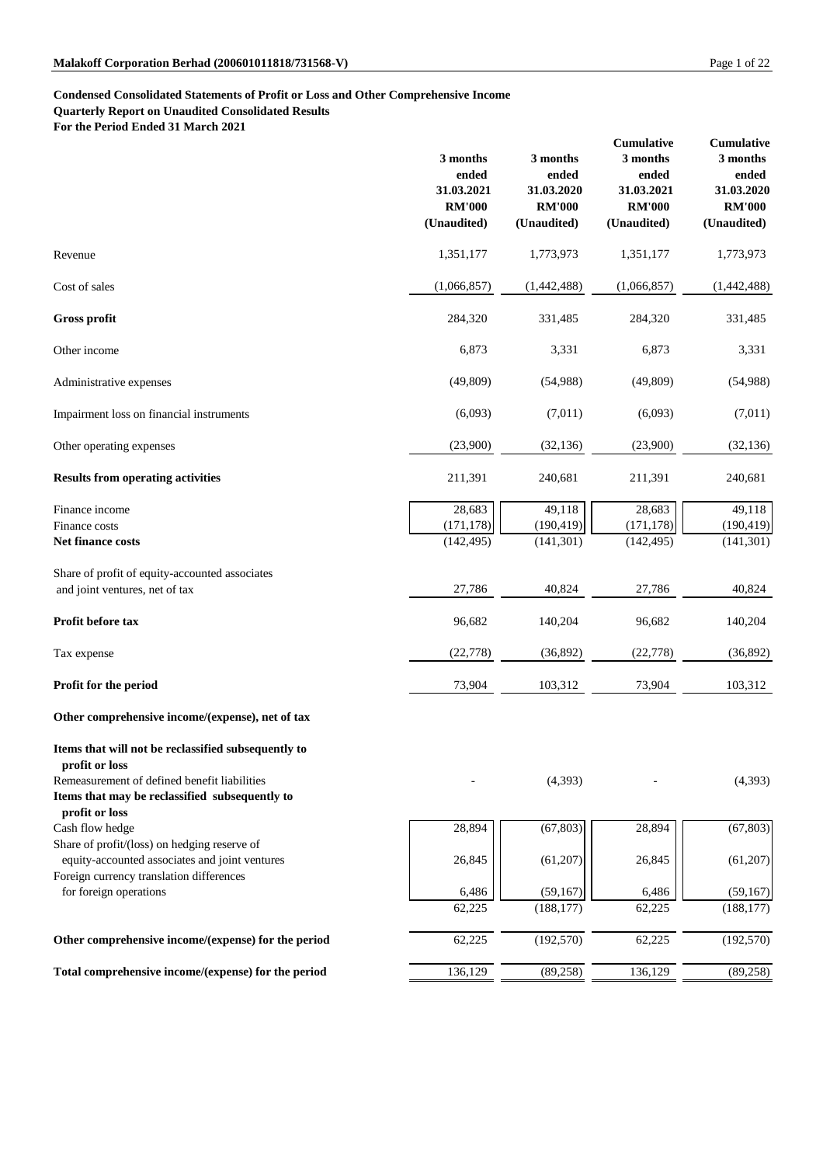# **Condensed Consolidated Statements of Profit or Loss and Other Comprehensive Income**

**Quarterly Report on Unaudited Consolidated Results**

**For the Period Ended 31 March 2021**

|                                                                                                                                                                         | 3 months<br>ended<br>31.03.2021<br><b>RM'000</b><br>(Unaudited) | 3 months<br>ended<br>31.03.2020<br><b>RM'000</b><br>(Unaudited) | <b>Cumulative</b><br>3 months<br>ended<br>31.03.2021<br><b>RM'000</b><br>(Unaudited) | <b>Cumulative</b><br>3 months<br>ended<br>31.03.2020<br><b>RM'000</b><br>(Unaudited) |
|-------------------------------------------------------------------------------------------------------------------------------------------------------------------------|-----------------------------------------------------------------|-----------------------------------------------------------------|--------------------------------------------------------------------------------------|--------------------------------------------------------------------------------------|
| Revenue                                                                                                                                                                 | 1,351,177                                                       | 1,773,973                                                       | 1,351,177                                                                            | 1,773,973                                                                            |
| Cost of sales                                                                                                                                                           | (1,066,857)                                                     | (1,442,488)                                                     | (1,066,857)                                                                          | (1,442,488)                                                                          |
| <b>Gross profit</b>                                                                                                                                                     | 284,320                                                         | 331,485                                                         | 284,320                                                                              | 331,485                                                                              |
| Other income                                                                                                                                                            | 6,873                                                           | 3,331                                                           | 6,873                                                                                | 3,331                                                                                |
| Administrative expenses                                                                                                                                                 | (49,809)                                                        | (54,988)                                                        | (49, 809)                                                                            | (54,988)                                                                             |
| Impairment loss on financial instruments                                                                                                                                | (6,093)                                                         | (7,011)                                                         | (6,093)                                                                              | (7,011)                                                                              |
| Other operating expenses                                                                                                                                                | (23,900)                                                        | (32, 136)                                                       | (23,900)                                                                             | (32, 136)                                                                            |
| <b>Results from operating activities</b>                                                                                                                                | 211,391                                                         | 240,681                                                         | 211,391                                                                              | 240,681                                                                              |
| Finance income<br>Finance costs<br>Net finance costs                                                                                                                    | 28,683<br>(171, 178)<br>(142, 495)                              | 49,118<br>(190, 419)<br>(141, 301)                              | 28,683<br>(171, 178)<br>(142, 495)                                                   | 49,118<br>(190, 419)<br>(141, 301)                                                   |
| Share of profit of equity-accounted associates<br>and joint ventures, net of tax                                                                                        | 27,786                                                          | 40,824                                                          | 27,786                                                                               | 40,824                                                                               |
| Profit before tax                                                                                                                                                       | 96,682                                                          | 140,204                                                         | 96,682                                                                               | 140,204                                                                              |
| Tax expense                                                                                                                                                             | (22, 778)                                                       | (36,892)                                                        | (22, 778)                                                                            | (36,892)                                                                             |
| Profit for the period                                                                                                                                                   | 73,904                                                          | 103,312                                                         | 73,904                                                                               | 103,312                                                                              |
| Other comprehensive income/(expense), net of tax                                                                                                                        |                                                                 |                                                                 |                                                                                      |                                                                                      |
| Items that will not be reclassified subsequently to<br>profit or loss<br>Remeasurement of defined benefit liabilities<br>Items that may be reclassified subsequently to |                                                                 | (4,393)                                                         |                                                                                      | (4,393)                                                                              |
| profit or loss<br>Cash flow hedge                                                                                                                                       | 28,894                                                          | (67, 803)                                                       | 28,894                                                                               | (67, 803)                                                                            |
| Share of profit/(loss) on hedging reserve of<br>equity-accounted associates and joint ventures                                                                          | 26,845                                                          | (61,207)                                                        | 26,845                                                                               | (61,207)                                                                             |
| Foreign currency translation differences<br>for foreign operations                                                                                                      | 6,486<br>62,225                                                 | (59,167)<br>(188, 177)                                          | 6,486<br>62,225                                                                      | (59,167)<br>(188, 177)                                                               |
| Other comprehensive income/(expense) for the period                                                                                                                     | 62,225                                                          | (192, 570)                                                      | 62,225                                                                               | (192, 570)                                                                           |
| Total comprehensive income/(expense) for the period                                                                                                                     | 136,129                                                         | (89, 258)                                                       | 136,129                                                                              | (89, 258)                                                                            |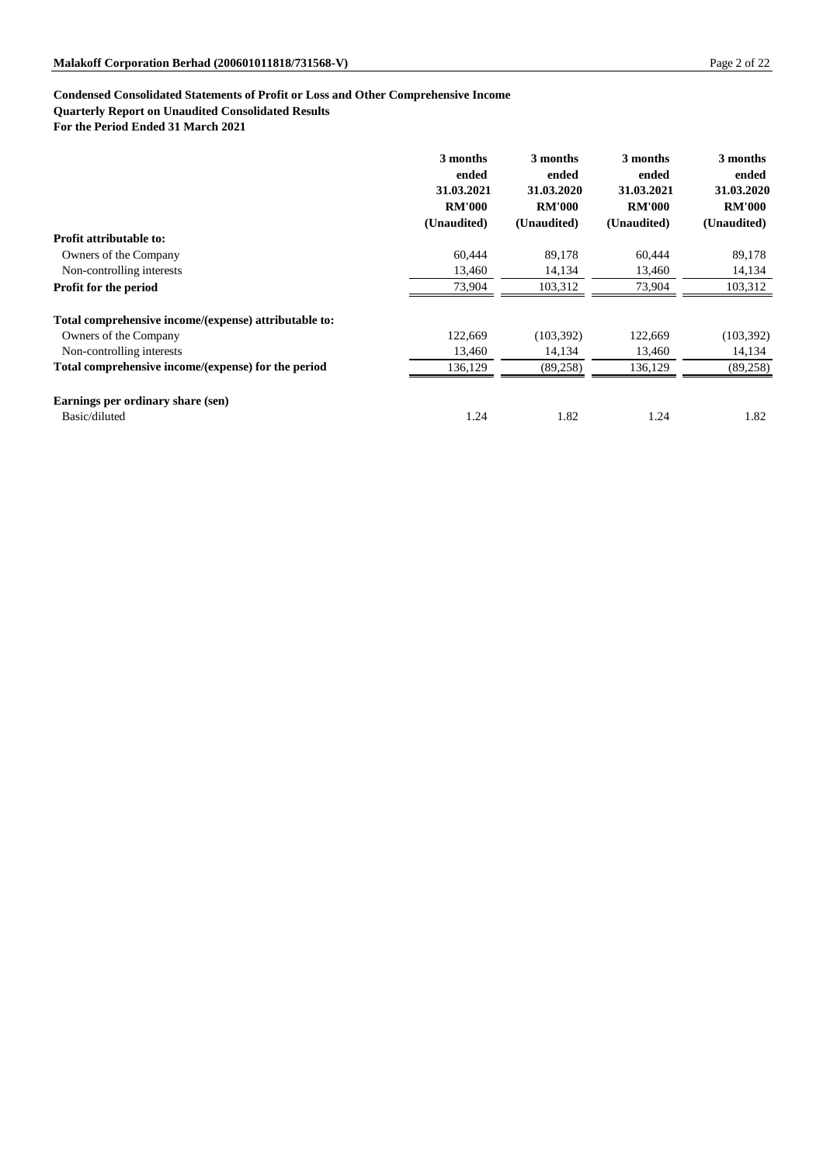## **Condensed Consolidated Statements of Profit or Loss and Other Comprehensive Income**

## **Quarterly Report on Unaudited Consolidated Results**

**For the Period Ended 31 March 2021**

|                                                       | 3 months      | 3 months      | 3 months      | 3 months      |
|-------------------------------------------------------|---------------|---------------|---------------|---------------|
|                                                       | ended         | ended         | ended         | ended         |
|                                                       | 31.03.2021    | 31.03.2020    | 31.03.2021    | 31.03.2020    |
|                                                       | <b>RM'000</b> | <b>RM'000</b> | <b>RM'000</b> | <b>RM'000</b> |
|                                                       | (Unaudited)   | (Unaudited)   | (Unaudited)   | (Unaudited)   |
| <b>Profit attributable to:</b>                        |               |               |               |               |
| Owners of the Company                                 | 60,444        | 89,178        | 60,444        | 89,178        |
| Non-controlling interests                             | 13,460        | 14,134        | 13,460        | 14,134        |
| Profit for the period                                 | 73,904        | 103,312       | 73,904        | 103,312       |
| Total comprehensive income/(expense) attributable to: |               |               |               |               |
| Owners of the Company                                 | 122,669       | (103, 392)    | 122,669       | (103, 392)    |
| Non-controlling interests                             | 13,460        | 14,134        | 13,460        | 14,134        |
| Total comprehensive income/(expense) for the period   | 136,129       | (89, 258)     | 136,129       | (89, 258)     |
| Earnings per ordinary share (sen)                     |               |               |               |               |
| Basic/diluted                                         | 1.24          | 1.82          | 1.24          | 1.82          |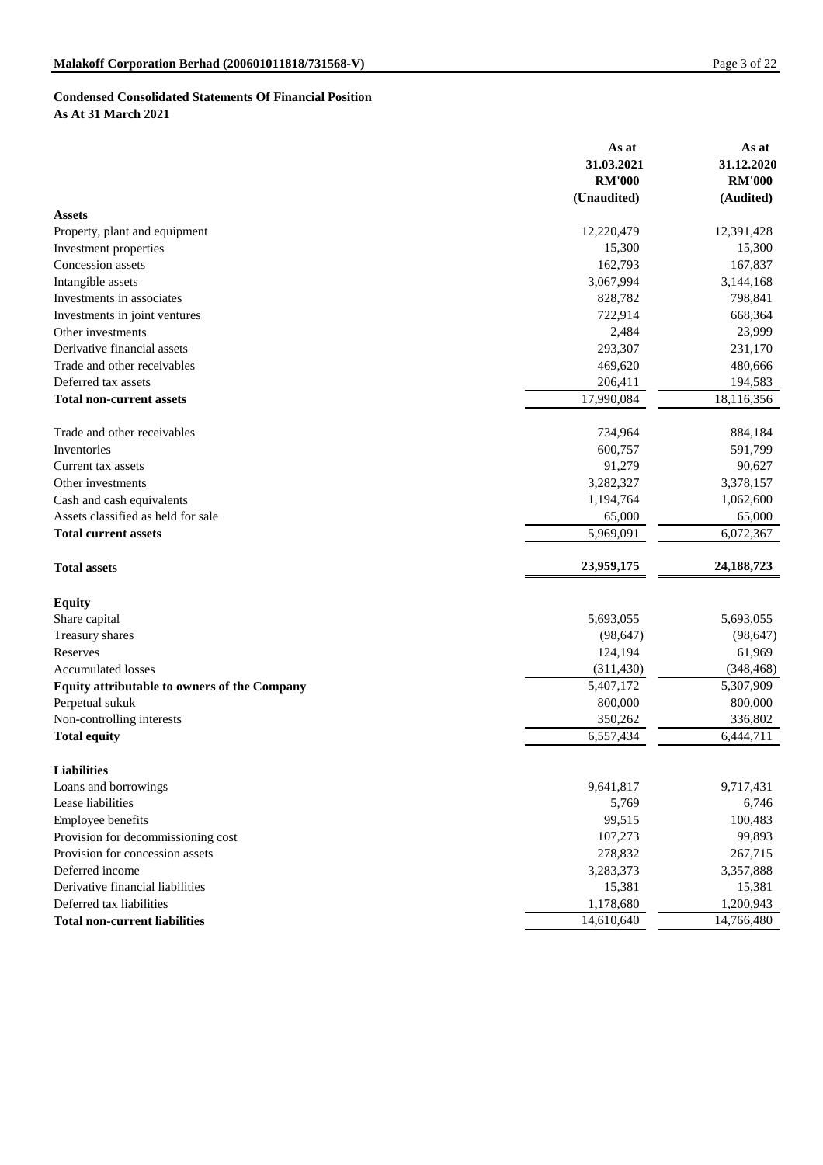# **Condensed Consolidated Statements Of Financial Position As At 31 March 2021**

|                                              | As at         | As at         |
|----------------------------------------------|---------------|---------------|
|                                              | 31.03.2021    | 31.12.2020    |
|                                              | <b>RM'000</b> | <b>RM'000</b> |
|                                              | (Unaudited)   | (Audited)     |
| <b>Assets</b>                                |               |               |
| Property, plant and equipment                | 12,220,479    | 12,391,428    |
| Investment properties                        | 15,300        | 15,300        |
| Concession assets                            | 162,793       | 167,837       |
| Intangible assets                            | 3,067,994     | 3,144,168     |
| Investments in associates                    | 828,782       | 798,841       |
| Investments in joint ventures                | 722,914       | 668,364       |
| Other investments                            | 2,484         | 23,999        |
| Derivative financial assets                  | 293,307       | 231,170       |
| Trade and other receivables                  | 469,620       | 480,666       |
| Deferred tax assets                          | 206,411       | 194,583       |
| <b>Total non-current assets</b>              | 17,990,084    | 18,116,356    |
| Trade and other receivables                  | 734,964       | 884,184       |
| Inventories                                  | 600,757       | 591,799       |
| Current tax assets                           | 91,279        | 90,627        |
| Other investments                            | 3,282,327     | 3,378,157     |
| Cash and cash equivalents                    | 1,194,764     | 1,062,600     |
| Assets classified as held for sale           | 65,000        | 65,000        |
| <b>Total current assets</b>                  | 5,969,091     | 6,072,367     |
| <b>Total assets</b>                          | 23,959,175    | 24, 188, 723  |
| <b>Equity</b>                                |               |               |
| Share capital                                | 5,693,055     | 5,693,055     |
| Treasury shares                              | (98, 647)     | (98, 647)     |
| Reserves                                     | 124,194       | 61,969        |
| <b>Accumulated losses</b>                    | (311, 430)    | (348, 468)    |
| Equity attributable to owners of the Company | 5,407,172     | 5,307,909     |
| Perpetual sukuk                              | 800,000       | 800,000       |
| Non-controlling interests                    | 350,262       | 336,802       |
| <b>Total equity</b>                          | 6,557,434     | 6,444,711     |
| <b>Liabilities</b>                           |               |               |
| Loans and borrowings                         | 9,641,817     | 9,717,431     |
| Lease liabilities                            | 5,769         | 6,746         |
| <b>Employee benefits</b>                     | 99,515        | 100,483       |
| Provision for decommissioning cost           | 107,273       | 99,893        |
| Provision for concession assets              | 278,832       | 267,715       |
| Deferred income                              | 3,283,373     | 3,357,888     |
| Derivative financial liabilities             | 15,381        | 15,381        |
| Deferred tax liabilities                     | 1,178,680     | 1,200,943     |
| <b>Total non-current liabilities</b>         | 14,610,640    | 14,766,480    |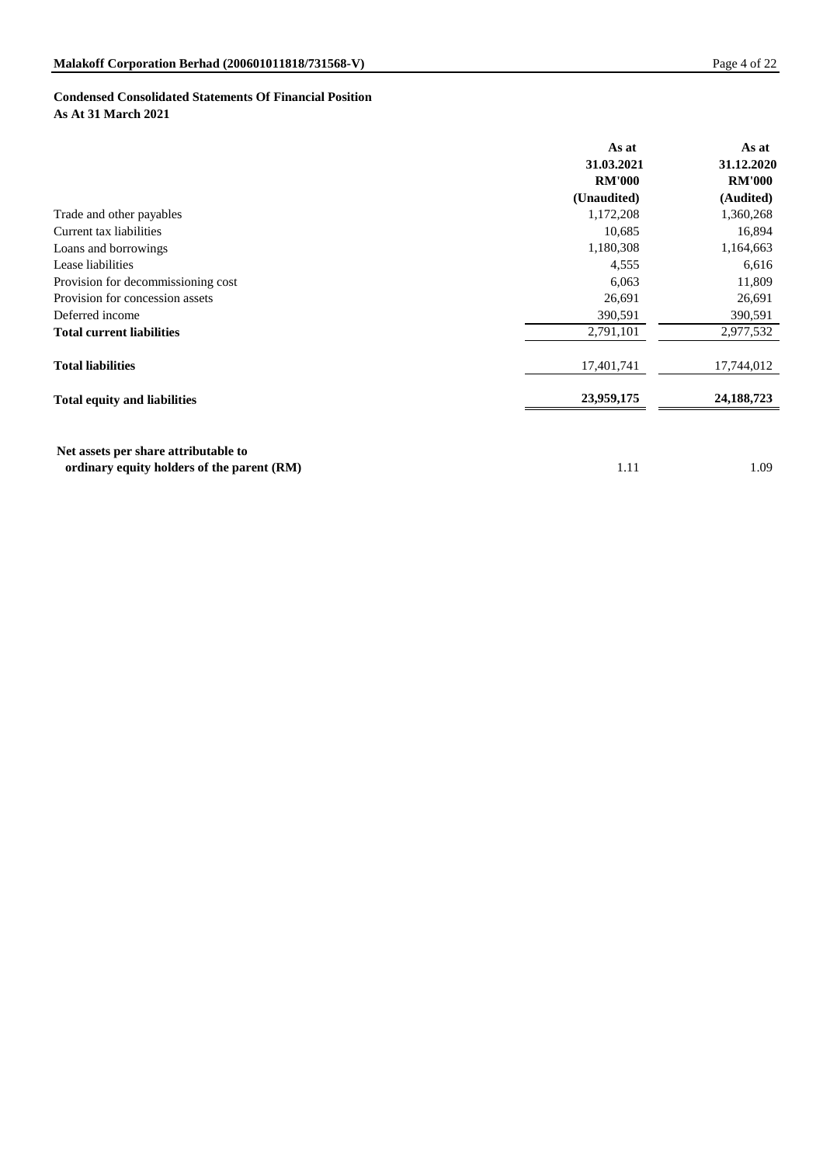# **Condensed Consolidated Statements Of Financial Position As At 31 March 2021**

|                                      | As at         | As at         |
|--------------------------------------|---------------|---------------|
|                                      | 31.03.2021    | 31.12.2020    |
|                                      | <b>RM'000</b> | <b>RM'000</b> |
|                                      | (Unaudited)   | (Audited)     |
| Trade and other payables             | 1,172,208     | 1,360,268     |
| Current tax liabilities              | 10,685        | 16,894        |
| Loans and borrowings                 | 1,180,308     | 1,164,663     |
| Lease liabilities                    | 4,555         | 6,616         |
| Provision for decommissioning cost   | 6,063         | 11,809        |
| Provision for concession assets      | 26,691        | 26,691        |
| Deferred income                      | 390,591       | 390,591       |
| <b>Total current liabilities</b>     | 2,791,101     | 2,977,532     |
| <b>Total liabilities</b>             | 17,401,741    | 17,744,012    |
| <b>Total equity and liabilities</b>  | 23,959,175    | 24, 188, 723  |
| Net assets per share attributable to |               |               |

**ordinary equity holders of the parent (RM)** 1.09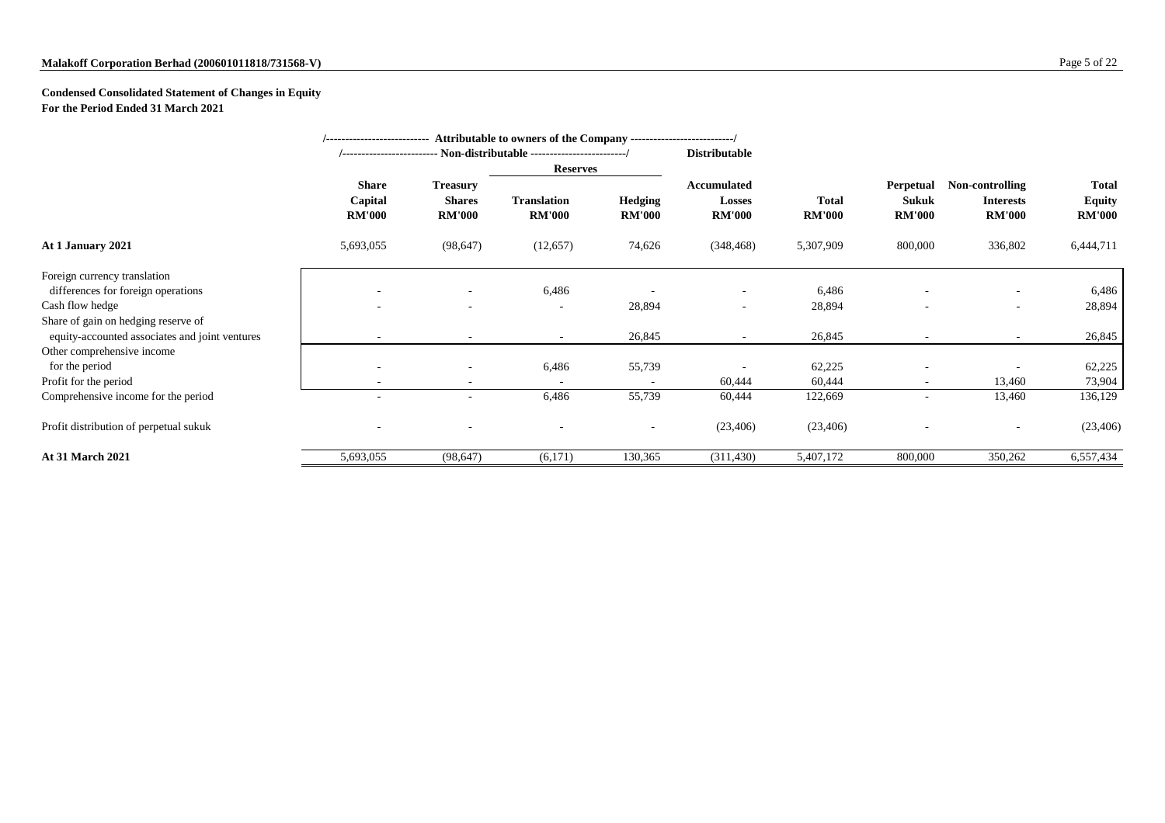# **Condensed Consolidated Statement of Changes in Equity For the Period Ended 31 March 2021**

|                                                                                       | Attributable to owners of the Company ---------------------------/<br>--------------------------- |                                                   |                                     |                                 |                                               |                               |                                                   |                                                      |                                                |  |
|---------------------------------------------------------------------------------------|---------------------------------------------------------------------------------------------------|---------------------------------------------------|-------------------------------------|---------------------------------|-----------------------------------------------|-------------------------------|---------------------------------------------------|------------------------------------------------------|------------------------------------------------|--|
|                                                                                       |                                                                                                   |                                                   |                                     |                                 | <b>Distributable</b>                          |                               |                                                   |                                                      |                                                |  |
|                                                                                       |                                                                                                   |                                                   |                                     | <b>Reserves</b>                 |                                               |                               |                                                   |                                                      |                                                |  |
|                                                                                       | <b>Share</b><br>Capital<br><b>RM'000</b>                                                          | <b>Treasury</b><br><b>Shares</b><br><b>RM'000</b> | <b>Translation</b><br><b>RM'000</b> | <b>Hedging</b><br><b>RM'000</b> | <b>Accumulated</b><br>Losses<br><b>RM'000</b> | <b>Total</b><br><b>RM'000</b> | <b>Perpetual</b><br><b>Sukuk</b><br><b>RM'000</b> | Non-controlling<br><b>Interests</b><br><b>RM'000</b> | <b>Total</b><br><b>Equity</b><br><b>RM'000</b> |  |
| At 1 January 2021                                                                     | 5,693,055                                                                                         | (98, 647)                                         | (12, 657)                           | 74,626                          | (348, 468)                                    | 5,307,909                     | 800,000                                           | 336,802                                              | 6,444,711                                      |  |
| Foreign currency translation                                                          |                                                                                                   |                                                   |                                     |                                 |                                               |                               |                                                   |                                                      |                                                |  |
| differences for foreign operations                                                    |                                                                                                   |                                                   | 6,486                               |                                 |                                               | 6,486                         |                                                   | $\overline{\phantom{a}}$                             | 6,486                                          |  |
| Cash flow hedge                                                                       | $\overline{\phantom{a}}$                                                                          | $\overline{\phantom{a}}$                          | $\overline{\phantom{a}}$            | 28,894                          | $\overline{\phantom{a}}$                      | 28,894                        |                                                   | $\overline{\phantom{a}}$                             | 28,894                                         |  |
| Share of gain on hedging reserve of<br>equity-accounted associates and joint ventures |                                                                                                   | $\overline{\phantom{a}}$                          | $\sim$                              | 26,845                          |                                               | 26,845                        |                                                   | $\overline{\phantom{a}}$                             | 26,845                                         |  |
| Other comprehensive income                                                            |                                                                                                   |                                                   |                                     |                                 |                                               |                               |                                                   |                                                      |                                                |  |
| for the period                                                                        |                                                                                                   |                                                   | 6,486                               | 55,739                          |                                               | 62,225                        |                                                   |                                                      | 62,225                                         |  |
| Profit for the period                                                                 |                                                                                                   |                                                   | $\sim$                              | $\sim$                          | 60,444                                        | 60,444                        | $\overline{\phantom{a}}$                          | 13,460                                               | 73,904                                         |  |
| Comprehensive income for the period                                                   |                                                                                                   | $\overline{\phantom{a}}$                          | 6,486                               | 55,739                          | 60,444                                        | 122,669                       |                                                   | 13,460                                               | 136,129                                        |  |
| Profit distribution of perpetual sukuk                                                |                                                                                                   |                                                   |                                     |                                 | (23, 406)                                     | (23, 406)                     |                                                   | $\overline{\phantom{a}}$                             | (23, 406)                                      |  |
| <b>At 31 March 2021</b>                                                               | 5,693,055                                                                                         | (98, 647)                                         | (6,171)                             | 130,365                         | (311, 430)                                    | 5,407,172                     | 800,000                                           | 350,262                                              | 6,557,434                                      |  |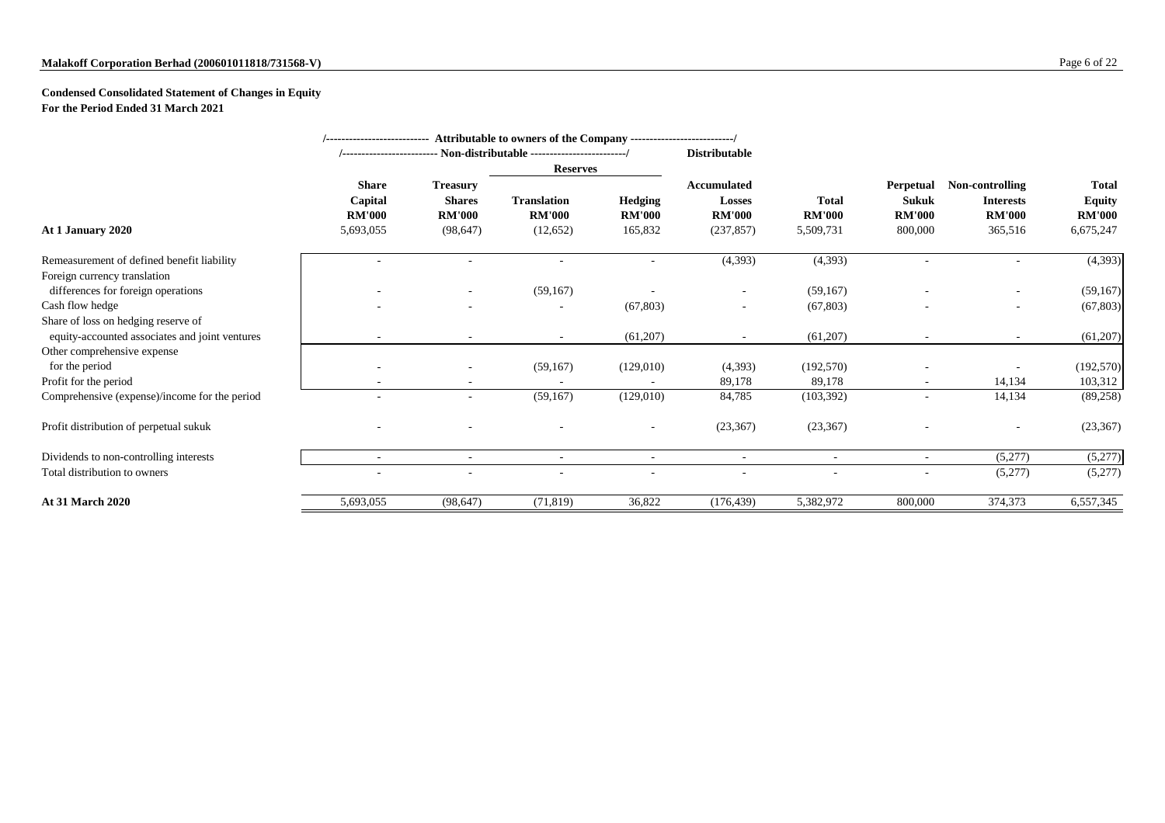# **Condensed Consolidated Statement of Changes in Equity For the Period Ended 31 March 2021**

| /--------------------------- Attributable to owners of the Company -------------------------/ |                                                       |                                                                |                                                  |                                            |                                                                    |                                            |                                                              |                                                                 |                                                             |
|-----------------------------------------------------------------------------------------------|-------------------------------------------------------|----------------------------------------------------------------|--------------------------------------------------|--------------------------------------------|--------------------------------------------------------------------|--------------------------------------------|--------------------------------------------------------------|-----------------------------------------------------------------|-------------------------------------------------------------|
|                                                                                               | <b>Distributable</b>                                  |                                                                |                                                  |                                            |                                                                    |                                            |                                                              |                                                                 |                                                             |
|                                                                                               |                                                       |                                                                | <b>Reserves</b>                                  |                                            |                                                                    |                                            |                                                              |                                                                 |                                                             |
| At 1 January 2020                                                                             | <b>Share</b><br>Capital<br><b>RM'000</b><br>5,693,055 | <b>Treasury</b><br><b>Shares</b><br><b>RM'000</b><br>(98, 647) | <b>Translation</b><br><b>RM'000</b><br>(12, 652) | <b>Hedging</b><br><b>RM'000</b><br>165,832 | <b>Accumulated</b><br><b>Losses</b><br><b>RM'000</b><br>(237, 857) | <b>Total</b><br><b>RM'000</b><br>5,509,731 | <b>Perpetual</b><br><b>Sukuk</b><br><b>RM'000</b><br>800,000 | Non-controlling<br><b>Interests</b><br><b>RM'000</b><br>365,516 | <b>Total</b><br><b>Equity</b><br><b>RM'000</b><br>6,675,247 |
| Remeasurement of defined benefit liability                                                    |                                                       |                                                                |                                                  |                                            | (4,393)                                                            | (4,393)                                    |                                                              |                                                                 | (4,393)                                                     |
| Foreign currency translation                                                                  |                                                       |                                                                |                                                  |                                            |                                                                    |                                            |                                                              |                                                                 |                                                             |
| differences for foreign operations                                                            |                                                       |                                                                | (59,167)                                         |                                            |                                                                    | (59,167)                                   |                                                              |                                                                 | (59,167)                                                    |
| Cash flow hedge                                                                               |                                                       |                                                                |                                                  | (67, 803)                                  |                                                                    | (67, 803)                                  |                                                              |                                                                 | (67, 803)                                                   |
| Share of loss on hedging reserve of                                                           |                                                       |                                                                |                                                  |                                            |                                                                    |                                            |                                                              |                                                                 |                                                             |
| equity-accounted associates and joint ventures                                                | $\overline{\phantom{a}}$                              | $\overline{\phantom{a}}$                                       | $\overline{\phantom{a}}$                         | (61,207)                                   | $\overline{\phantom{a}}$                                           | (61,207)                                   | $\overline{\phantom{a}}$                                     | $\overline{\phantom{a}}$                                        | (61,207)                                                    |
| Other comprehensive expense                                                                   |                                                       |                                                                |                                                  |                                            |                                                                    |                                            |                                                              |                                                                 |                                                             |
| for the period                                                                                |                                                       |                                                                | (59,167)                                         | (129,010)                                  | (4,393)                                                            | (192, 570)                                 |                                                              |                                                                 | (192,570)                                                   |
| Profit for the period                                                                         |                                                       |                                                                |                                                  |                                            | 89,178                                                             | 89,178                                     |                                                              | 14,134                                                          | 103,312                                                     |
| Comprehensive (expense)/income for the period                                                 |                                                       | $\overline{\phantom{a}}$                                       | (59,167)                                         | (129,010)                                  | 84,785                                                             | (103, 392)                                 |                                                              | 14,134                                                          | (89, 258)                                                   |
| Profit distribution of perpetual sukuk                                                        |                                                       |                                                                |                                                  |                                            | (23, 367)                                                          | (23, 367)                                  |                                                              |                                                                 | (23, 367)                                                   |
| Dividends to non-controlling interests                                                        |                                                       | $\overline{\phantom{a}}$                                       | $\overline{\phantom{a}}$                         | $\overline{\phantom{a}}$                   | $\overline{\phantom{a}}$                                           | $\overline{\phantom{a}}$                   | $\overline{\phantom{a}}$                                     | (5,277)                                                         | (5,277)                                                     |
| Total distribution to owners                                                                  |                                                       |                                                                |                                                  |                                            |                                                                    |                                            |                                                              | (5,277)                                                         | (5,277)                                                     |
| At 31 March 2020                                                                              | 5,693,055                                             | (98, 647)                                                      | (71, 819)                                        | 36,822                                     | (176, 439)                                                         | 5,382,972                                  | 800,000                                                      | 374,373                                                         | 6,557,345                                                   |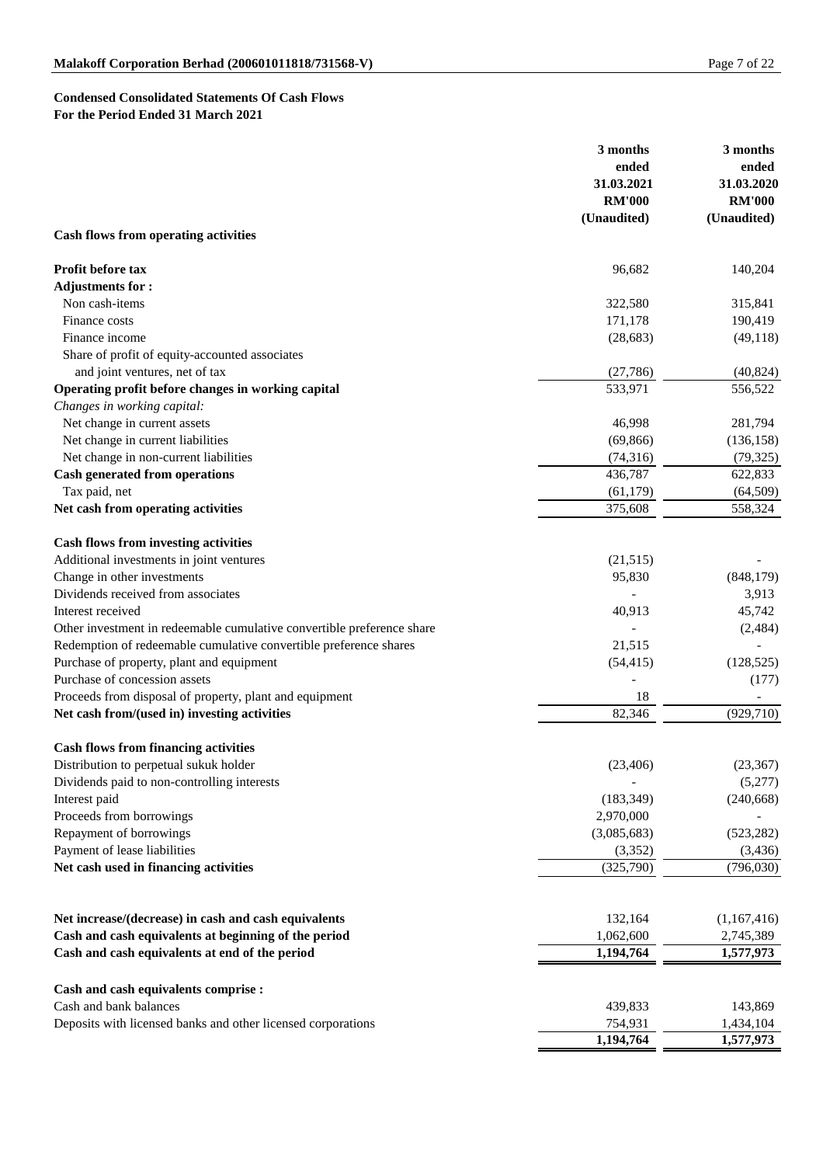# **Condensed Consolidated Statements Of Cash Flows For the Period Ended 31 March 2021**

|                                                                        | 3 months<br>ended<br>31.03.2021 | 3 months<br>ended<br>31.03.2020 |
|------------------------------------------------------------------------|---------------------------------|---------------------------------|
|                                                                        | <b>RM'000</b>                   | <b>RM'000</b>                   |
|                                                                        | (Unaudited)                     | (Unaudited)                     |
| <b>Cash flows from operating activities</b>                            |                                 |                                 |
| Profit before tax                                                      | 96,682                          | 140,204                         |
| <b>Adjustments for:</b>                                                |                                 |                                 |
| Non cash-items                                                         | 322,580                         | 315,841                         |
| Finance costs                                                          | 171,178                         | 190,419                         |
| Finance income                                                         | (28, 683)                       | (49, 118)                       |
| Share of profit of equity-accounted associates                         |                                 |                                 |
| and joint ventures, net of tax                                         | (27, 786)                       | (40, 824)                       |
| Operating profit before changes in working capital                     | 533,971                         | 556,522                         |
| Changes in working capital:                                            |                                 |                                 |
| Net change in current assets                                           | 46,998                          | 281,794                         |
| Net change in current liabilities                                      | (69, 866)                       | (136, 158)                      |
| Net change in non-current liabilities                                  | (74,316)                        | (79, 325)                       |
| <b>Cash generated from operations</b>                                  | 436,787                         | 622,833                         |
| Tax paid, net                                                          | (61, 179)                       | (64, 509)                       |
| Net cash from operating activities                                     | 375,608                         | 558,324                         |
|                                                                        |                                 |                                 |
| <b>Cash flows from investing activities</b>                            |                                 |                                 |
| Additional investments in joint ventures                               | (21,515)                        |                                 |
| Change in other investments                                            | 95,830                          | (848, 179)                      |
| Dividends received from associates                                     |                                 | 3,913                           |
| Interest received                                                      | 40,913                          | 45,742                          |
| Other investment in redeemable cumulative convertible preference share |                                 | (2,484)                         |
| Redemption of redeemable cumulative convertible preference shares      | 21,515                          |                                 |
| Purchase of property, plant and equipment                              | (54, 415)                       | (128, 525)                      |
| Purchase of concession assets                                          |                                 | (177)                           |
| Proceeds from disposal of property, plant and equipment                | 18                              |                                 |
| Net cash from/(used in) investing activities                           | 82,346                          | (929, 710)                      |
| <b>Cash flows from financing activities</b>                            |                                 |                                 |
|                                                                        |                                 |                                 |
| Distribution to perpetual sukuk holder                                 | (23, 406)                       | (23, 367)                       |
| Dividends paid to non-controlling interests                            |                                 | (5,277)<br>(240, 668)           |
| Interest paid                                                          | (183, 349)<br>2,970,000         |                                 |
| Proceeds from borrowings<br>Repayment of borrowings                    | (3,085,683)                     |                                 |
| Payment of lease liabilities                                           | (3,352)                         | (523, 282)                      |
| Net cash used in financing activities                                  |                                 | (3, 436)<br>(796, 030)          |
|                                                                        | (325,790)                       |                                 |
|                                                                        |                                 |                                 |
| Net increase/(decrease) in cash and cash equivalents                   | 132,164                         | (1,167,416)                     |
| Cash and cash equivalents at beginning of the period                   | 1,062,600                       | 2,745,389                       |
| Cash and cash equivalents at end of the period                         | 1,194,764                       | 1,577,973                       |
|                                                                        |                                 |                                 |
| Cash and cash equivalents comprise :                                   |                                 |                                 |
| Cash and bank balances                                                 | 439,833                         | 143,869                         |
| Deposits with licensed banks and other licensed corporations           | 754,931                         | 1,434,104                       |
|                                                                        | 1,194,764                       | 1,577,973                       |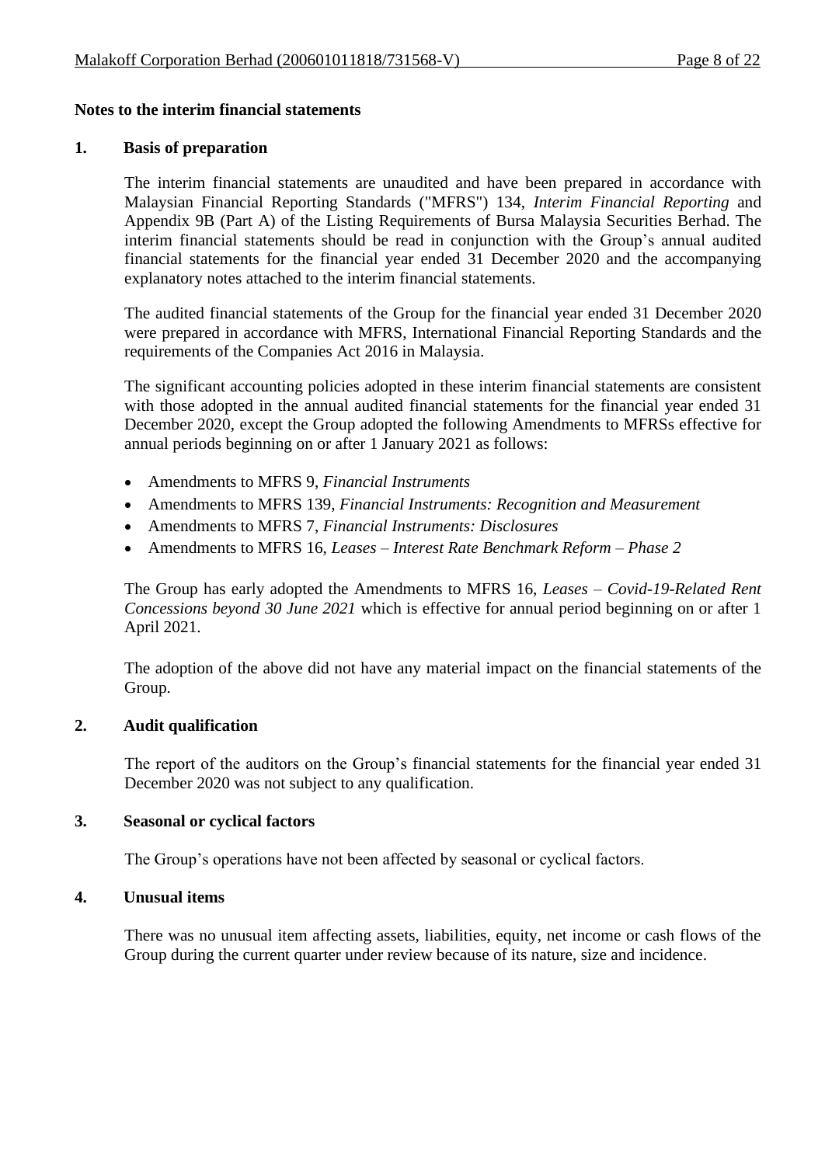#### **Notes to the interim financial statements**

#### **1. Basis of preparation**

The interim financial statements are unaudited and have been prepared in accordance with Malaysian Financial Reporting Standards ("MFRS") 134, *Interim Financial Reporting* and Appendix 9B (Part A) of the Listing Requirements of Bursa Malaysia Securities Berhad. The interim financial statements should be read in conjunction with the Group's annual audited financial statements for the financial year ended 31 December 2020 and the accompanying explanatory notes attached to the interim financial statements.

The audited financial statements of the Group for the financial year ended 31 December 2020 were prepared in accordance with MFRS, International Financial Reporting Standards and the requirements of the Companies Act 2016 in Malaysia.

The significant accounting policies adopted in these interim financial statements are consistent with those adopted in the annual audited financial statements for the financial year ended 31 December 2020, except the Group adopted the following Amendments to MFRSs effective for annual periods beginning on or after 1 January 2021 as follows:

- Amendments to MFRS 9, *Financial Instruments*
- Amendments to MFRS 139, *Financial Instruments: Recognition and Measurement*
- Amendments to MFRS 7, *Financial Instruments: Disclosures*
- Amendments to MFRS 16, *Leases – Interest Rate Benchmark Reform – Phase 2*

The Group has early adopted the Amendments to MFRS 16, *Leases – Covid-19-Related Rent Concessions beyond 30 June 2021* which is effective for annual period beginning on or after 1 April 2021.

The adoption of the above did not have any material impact on the financial statements of the Group.

#### **2. Audit qualification**

The report of the auditors on the Group's financial statements for the financial year ended 31 December 2020 was not subject to any qualification.

#### **3. Seasonal or cyclical factors**

The Group's operations have not been affected by seasonal or cyclical factors.

#### **4. Unusual items**

There was no unusual item affecting assets, liabilities, equity, net income or cash flows of the Group during the current quarter under review because of its nature, size and incidence.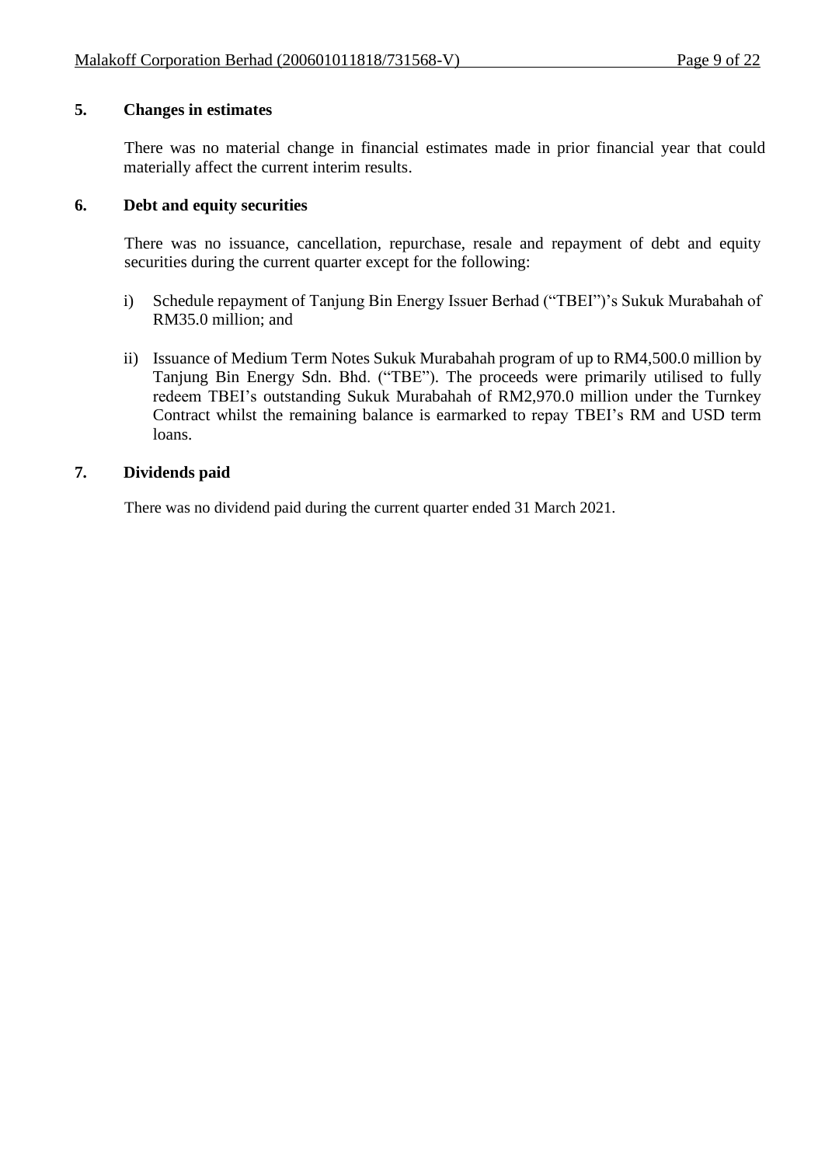## **5. Changes in estimates**

There was no material change in financial estimates made in prior financial year that could materially affect the current interim results.

## **6. Debt and equity securities**

There was no issuance, cancellation, repurchase, resale and repayment of debt and equity securities during the current quarter except for the following:

- i) Schedule repayment of Tanjung Bin Energy Issuer Berhad ("TBEI")'s Sukuk Murabahah of RM35.0 million; and
- ii) Issuance of Medium Term Notes Sukuk Murabahah program of up to RM4,500.0 million by Tanjung Bin Energy Sdn. Bhd. ("TBE"). The proceeds were primarily utilised to fully redeem TBEI's outstanding Sukuk Murabahah of RM2,970.0 million under the Turnkey Contract whilst the remaining balance is earmarked to repay TBEI's RM and USD term loans.

## **7. Dividends paid**

There was no dividend paid during the current quarter ended 31 March 2021.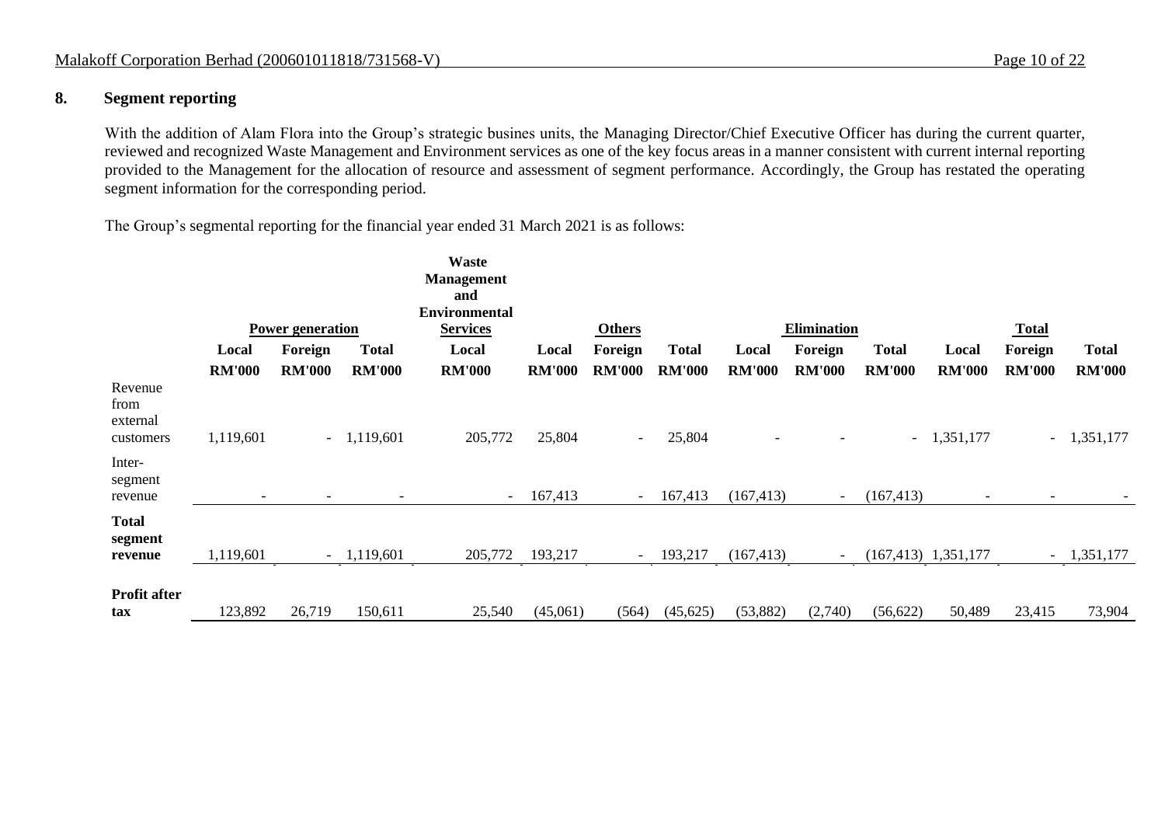## **8. Segment reporting**

With the addition of Alam Flora into the Group's strategic busines units, the Managing Director/Chief Executive Officer has during the current quarter, reviewed and recognized Waste Management and Environment services as one of the key focus areas in a manner consistent with current internal reporting provided to the Management for the allocation of resource and assessment of segment performance. Accordingly, the Group has restated the operating segment information for the corresponding period.

The Group's segmental reporting for the financial year ended 31 March 2021 is as follows:

|                                          |                          |                          |                              | Waste<br><b>Management</b>              |               |               |               |               |                          |               |                          |                          |               |
|------------------------------------------|--------------------------|--------------------------|------------------------------|-----------------------------------------|---------------|---------------|---------------|---------------|--------------------------|---------------|--------------------------|--------------------------|---------------|
|                                          |                          |                          |                              | and                                     |               |               |               |               |                          |               |                          |                          |               |
|                                          |                          | <b>Power generation</b>  |                              | <b>Environmental</b><br><b>Services</b> |               | <b>Others</b> |               |               | Elimination              |               |                          | <b>Total</b>             |               |
|                                          | Local                    | Foreign                  | <b>Total</b>                 | Local                                   | Local         | Foreign       | <b>Total</b>  | Local         | Foreign                  | <b>Total</b>  | Local                    | Foreign                  | <b>Total</b>  |
|                                          | <b>RM'000</b>            | <b>RM'000</b>            | <b>RM'000</b>                | <b>RM'000</b>                           | <b>RM'000</b> | <b>RM'000</b> | <b>RM'000</b> | <b>RM'000</b> | <b>RM'000</b>            | <b>RM'000</b> | <b>RM'000</b>            | <b>RM'000</b>            | <b>RM'000</b> |
| Revenue<br>from<br>external<br>customers | 1,119,601                |                          | $-1,119,601$                 | 205,772                                 | 25,804        | $\sim$        | 25,804        |               |                          |               | $-1,351,177$             | $\omega_{\rm{max}}$      | 1,351,177     |
| Inter-<br>segment<br>revenue             | $\overline{\phantom{a}}$ | $\overline{\phantom{a}}$ | $\qquad \qquad \blacksquare$ | $\sim$                                  | 167,413       | $\sim$        | 167,413       | (167, 413)    | $\overline{\phantom{a}}$ | (167, 413)    | $\overline{\phantom{a}}$ | $\overline{\phantom{a}}$ |               |
| <b>Total</b><br>segment<br>revenue       | 1,119,601                |                          | $-1,119,601$                 | 205,772                                 | 193,217       | $\sim$        | 193,217       | (167, 413)    | $\overline{\phantom{a}}$ |               | $(167, 413)$ 1,351,177   |                          | $-1,351,177$  |
| <b>Profit after</b><br>tax               | 123,892                  | 26,719                   | 150,611                      | 25,540                                  | (45,061)      | (564)         | (45, 625)     | (53, 882)     | (2,740)                  | (56, 622)     | 50,489                   | 23,415                   | 73,904        |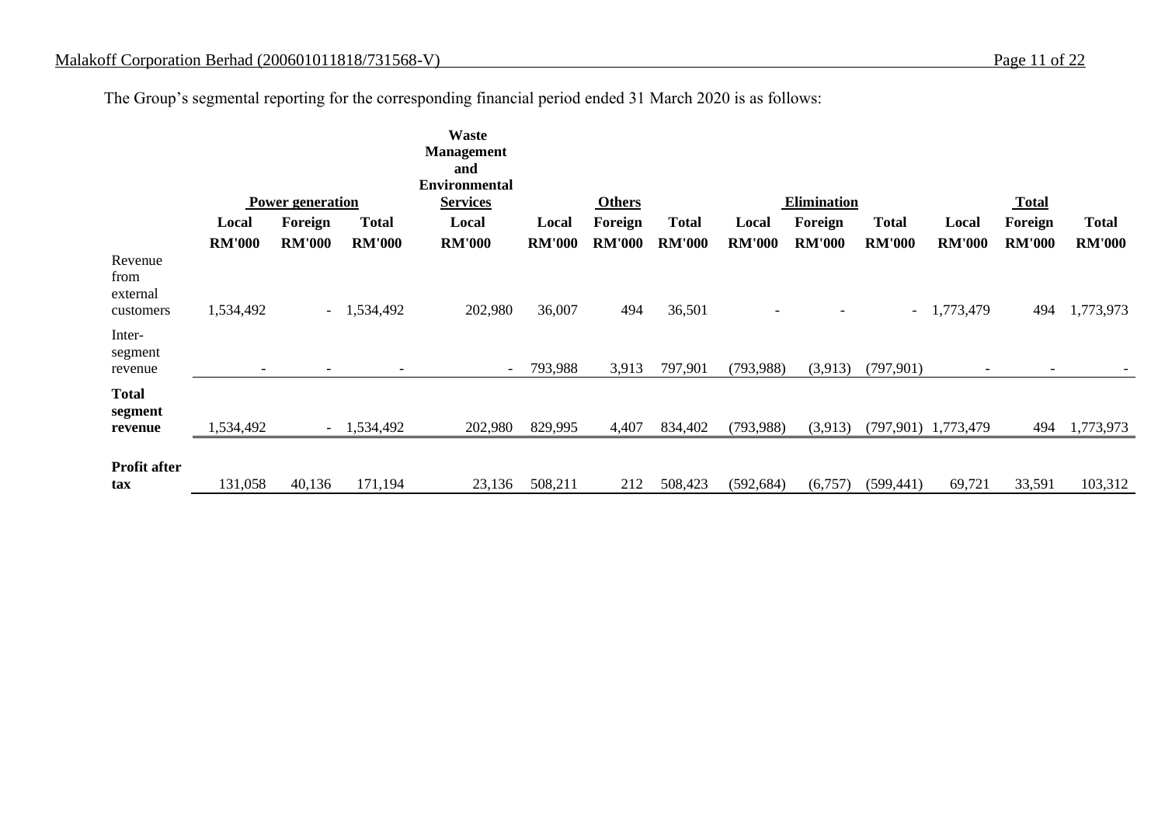The Group's segmental reporting for the corresponding financial period ended 31 March 2020 is as follows:

|                                          |                          |                          |                          | Waste<br><b>Management</b><br>and       |               |               |               |               |                    |               |                          |                          |               |
|------------------------------------------|--------------------------|--------------------------|--------------------------|-----------------------------------------|---------------|---------------|---------------|---------------|--------------------|---------------|--------------------------|--------------------------|---------------|
|                                          |                          | <b>Power generation</b>  |                          | <b>Environmental</b><br><b>Services</b> |               | <b>Others</b> |               |               | <b>Elimination</b> |               |                          | <b>Total</b>             |               |
|                                          | Local                    | Foreign                  | <b>Total</b>             | Local                                   | Local         | Foreign       | <b>Total</b>  | Local         | Foreign            | <b>Total</b>  | Local                    | Foreign                  | <b>Total</b>  |
|                                          | <b>RM'000</b>            | <b>RM'000</b>            | <b>RM'000</b>            | <b>RM'000</b>                           | <b>RM'000</b> | <b>RM'000</b> | <b>RM'000</b> | <b>RM'000</b> | <b>RM'000</b>      | <b>RM'000</b> | <b>RM'000</b>            | <b>RM'000</b>            | <b>RM'000</b> |
| Revenue<br>from<br>external<br>customers | 1,534,492                | $\sim$                   | 1,534,492                | 202,980                                 | 36,007        | 494           | 36,501        |               |                    | $\sim$        | 1,773,479                | 494                      | 1,773,973     |
| Inter-<br>segment<br>revenue             | $\overline{\phantom{a}}$ | $\overline{\phantom{a}}$ | $\overline{\phantom{0}}$ | $\overline{\phantom{a}}$                | 793,988       | 3,913         | 797,901       | (793, 988)    | (3,913)            | (797, 901)    | $\overline{\phantom{a}}$ | $\overline{\phantom{0}}$ |               |
| <b>Total</b><br>segment<br>revenue       | 1,534,492                | $\sim$                   | 1,534,492                | 202,980                                 | 829,995       | 4,407         | 834,402       | (793, 988)    | (3,913)            |               | $(797,901)$ 1,773,479    | 494                      | 1,773,973     |
| <b>Profit after</b><br>tax               | 131,058                  | 40,136                   | 171,194                  | 23,136                                  | 508,211       | 212           | 508,423       | (592, 684)    | (6,757)            | (599, 441)    | 69,721                   | 33,591                   | 103,312       |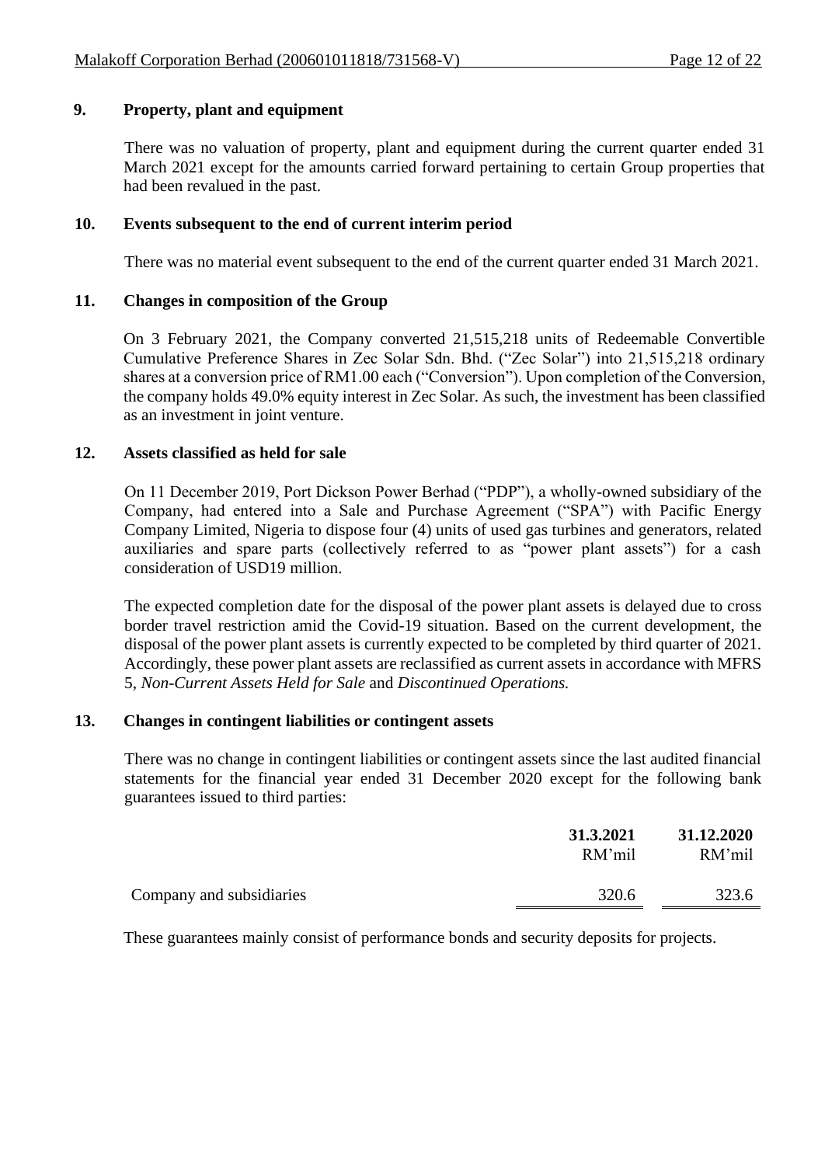# **9. Property, plant and equipment**

There was no valuation of property, plant and equipment during the current quarter ended 31 March 2021 except for the amounts carried forward pertaining to certain Group properties that had been revalued in the past.

## **10. Events subsequent to the end of current interim period**

There was no material event subsequent to the end of the current quarter ended 31 March 2021.

# **11. Changes in composition of the Group**

On 3 February 2021, the Company converted 21,515,218 units of Redeemable Convertible Cumulative Preference Shares in Zec Solar Sdn. Bhd. ("Zec Solar") into 21,515,218 ordinary shares at a conversion price of RM1.00 each ("Conversion"). Upon completion of the Conversion, the company holds 49.0% equity interest in Zec Solar. As such, the investment has been classified as an investment in joint venture.

## **12. Assets classified as held for sale**

On 11 December 2019, Port Dickson Power Berhad ("PDP"), a wholly-owned subsidiary of the Company, had entered into a Sale and Purchase Agreement ("SPA") with Pacific Energy Company Limited, Nigeria to dispose four (4) units of used gas turbines and generators, related auxiliaries and spare parts (collectively referred to as "power plant assets") for a cash consideration of USD19 million.

The expected completion date for the disposal of the power plant assets is delayed due to cross border travel restriction amid the Covid-19 situation. Based on the current development, the disposal of the power plant assets is currently expected to be completed by third quarter of 2021. Accordingly, these power plant assets are reclassified as current assets in accordance with MFRS 5, *Non-Current Assets Held for Sale* and *Discontinued Operations.*

## **13. Changes in contingent liabilities or contingent assets**

There was no change in contingent liabilities or contingent assets since the last audited financial statements for the financial year ended 31 December 2020 except for the following bank guarantees issued to third parties:

|                          | 31.3.2021<br>RM'mil | 31.12.2020<br>RM'mil |
|--------------------------|---------------------|----------------------|
| Company and subsidiaries | 320.6               | 323.6                |

These guarantees mainly consist of performance bonds and security deposits for projects.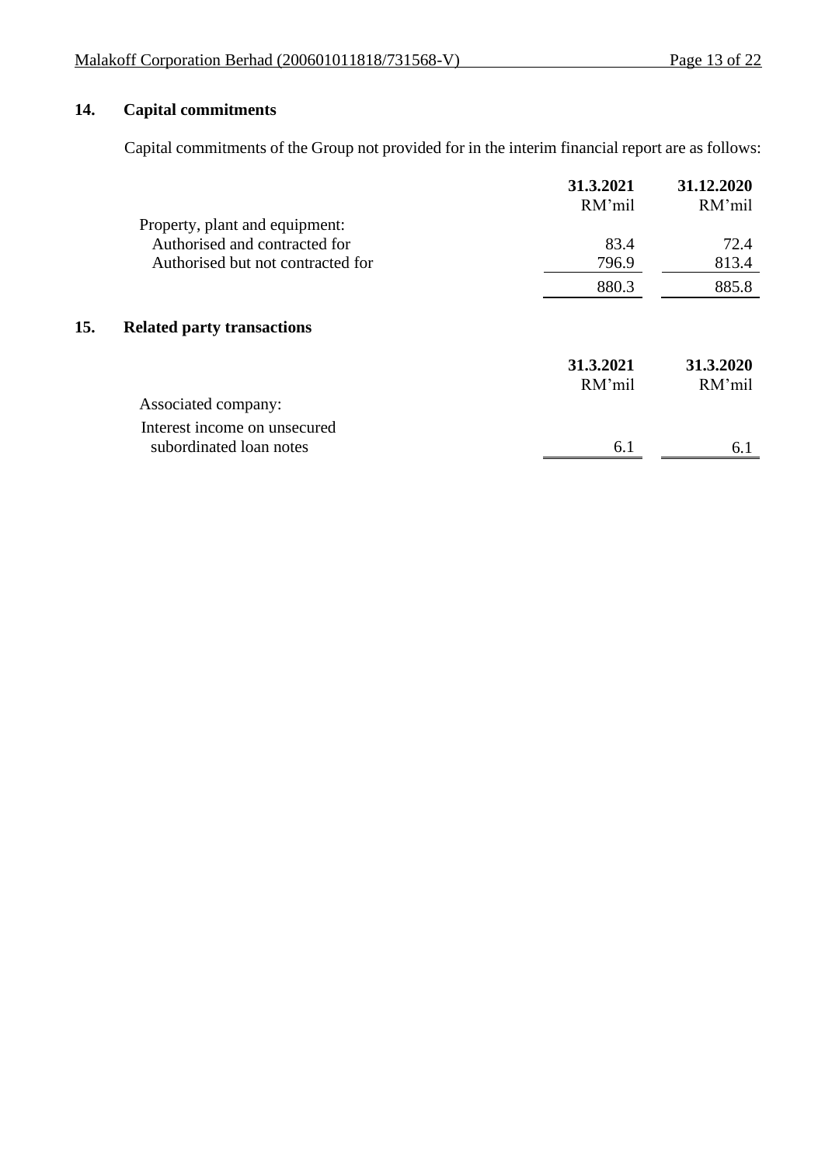# **14. Capital commitments**

 $15.$ 

Capital commitments of the Group not provided for in the interim financial report are as follows:

|                                   | 31.3.2021<br>RM'mil | 31.12.2020<br>RM'mil |
|-----------------------------------|---------------------|----------------------|
| Property, plant and equipment:    |                     |                      |
| Authorised and contracted for     | 83.4                | 72.4                 |
| Authorised but not contracted for | 796.9               | 813.4                |
|                                   | 880.3               | 885.8                |
| <b>Related party transactions</b> |                     |                      |
|                                   | 31.3.2021           | 31.3.2020            |
|                                   | RM'mil              | RM'mil               |
| Associated company:               |                     |                      |
| Interest income on unsecured      |                     |                      |
| subordinated loan notes           | 6.1                 | 6.1                  |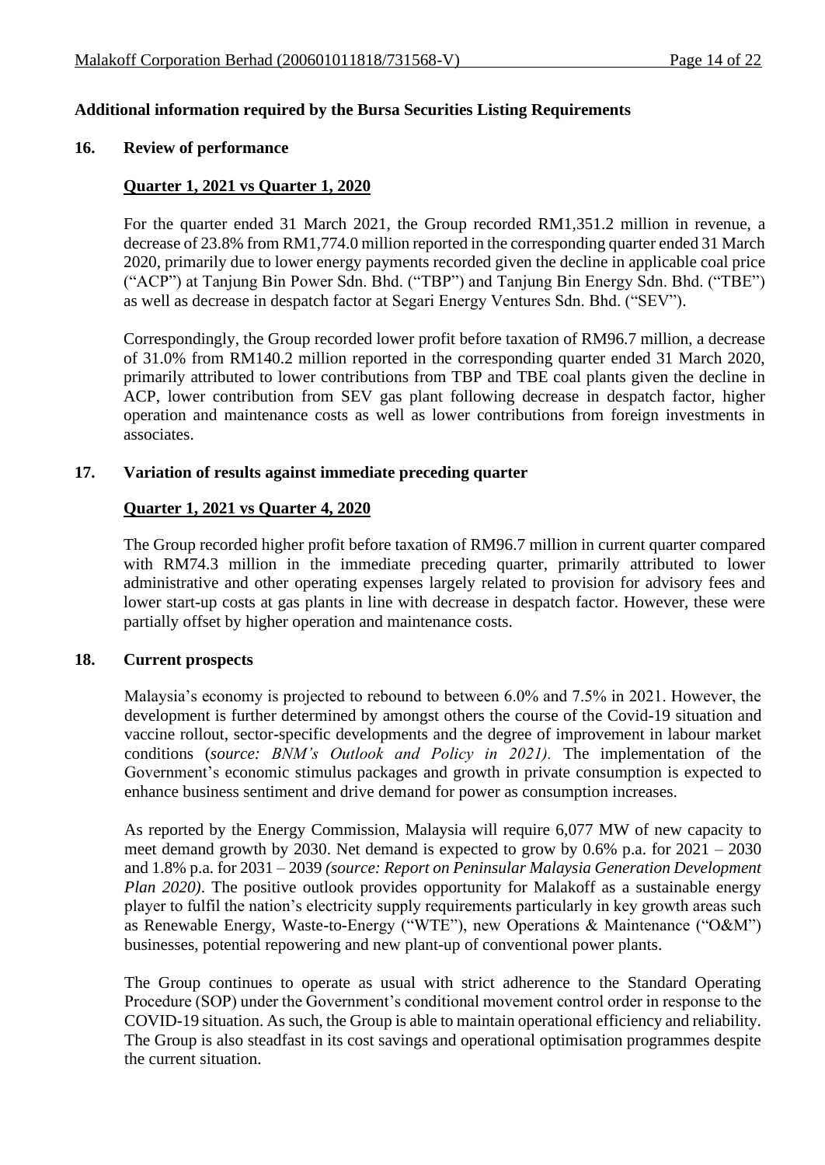## **Additional information required by the Bursa Securities Listing Requirements**

#### **16. Review of performance**

#### **Quarter 1, 2021 vs Quarter 1, 2020**

For the quarter ended 31 March 2021, the Group recorded RM1,351.2 million in revenue, a decrease of 23.8% from RM1,774.0 million reported in the corresponding quarter ended 31 March 2020, primarily due to lower energy payments recorded given the decline in applicable coal price ("ACP") at Tanjung Bin Power Sdn. Bhd. ("TBP") and Tanjung Bin Energy Sdn. Bhd. ("TBE") as well as decrease in despatch factor at Segari Energy Ventures Sdn. Bhd. ("SEV").

Correspondingly, the Group recorded lower profit before taxation of RM96.7 million, a decrease of 31.0% from RM140.2 million reported in the corresponding quarter ended 31 March 2020, primarily attributed to lower contributions from TBP and TBE coal plants given the decline in ACP, lower contribution from SEV gas plant following decrease in despatch factor, higher operation and maintenance costs as well as lower contributions from foreign investments in associates.

#### **17. Variation of results against immediate preceding quarter**

#### **Quarter 1, 2021 vs Quarter 4, 2020**

The Group recorded higher profit before taxation of RM96.7 million in current quarter compared with RM74.3 million in the immediate preceding quarter, primarily attributed to lower administrative and other operating expenses largely related to provision for advisory fees and lower start-up costs at gas plants in line with decrease in despatch factor. However, these were partially offset by higher operation and maintenance costs.

#### **18. Current prospects**

Malaysia's economy is projected to rebound to between 6.0% and 7.5% in 2021. However, the development is further determined by amongst others the course of the Covid-19 situation and vaccine rollout, sector-specific developments and the degree of improvement in labour market conditions (*source: BNM's Outlook and Policy in 2021).* The implementation of the Government's economic stimulus packages and growth in private consumption is expected to enhance business sentiment and drive demand for power as consumption increases.

As reported by the Energy Commission, Malaysia will require 6,077 MW of new capacity to meet demand growth by 2030. Net demand is expected to grow by 0.6% p.a. for 2021 – 2030 and 1.8% p.a. for 2031 – 2039 *(source: Report on Peninsular Malaysia Generation Development Plan 2020*). The positive outlook provides opportunity for Malakoff as a sustainable energy player to fulfil the nation's electricity supply requirements particularly in key growth areas such as Renewable Energy, Waste-to-Energy ("WTE"), new Operations & Maintenance ("O&M") businesses, potential repowering and new plant-up of conventional power plants.

The Group continues to operate as usual with strict adherence to the Standard Operating Procedure (SOP) under the Government's conditional movement control order in response to the COVID-19 situation. As such, the Group is able to maintain operational efficiency and reliability. The Group is also steadfast in its cost savings and operational optimisation programmes despite the current situation.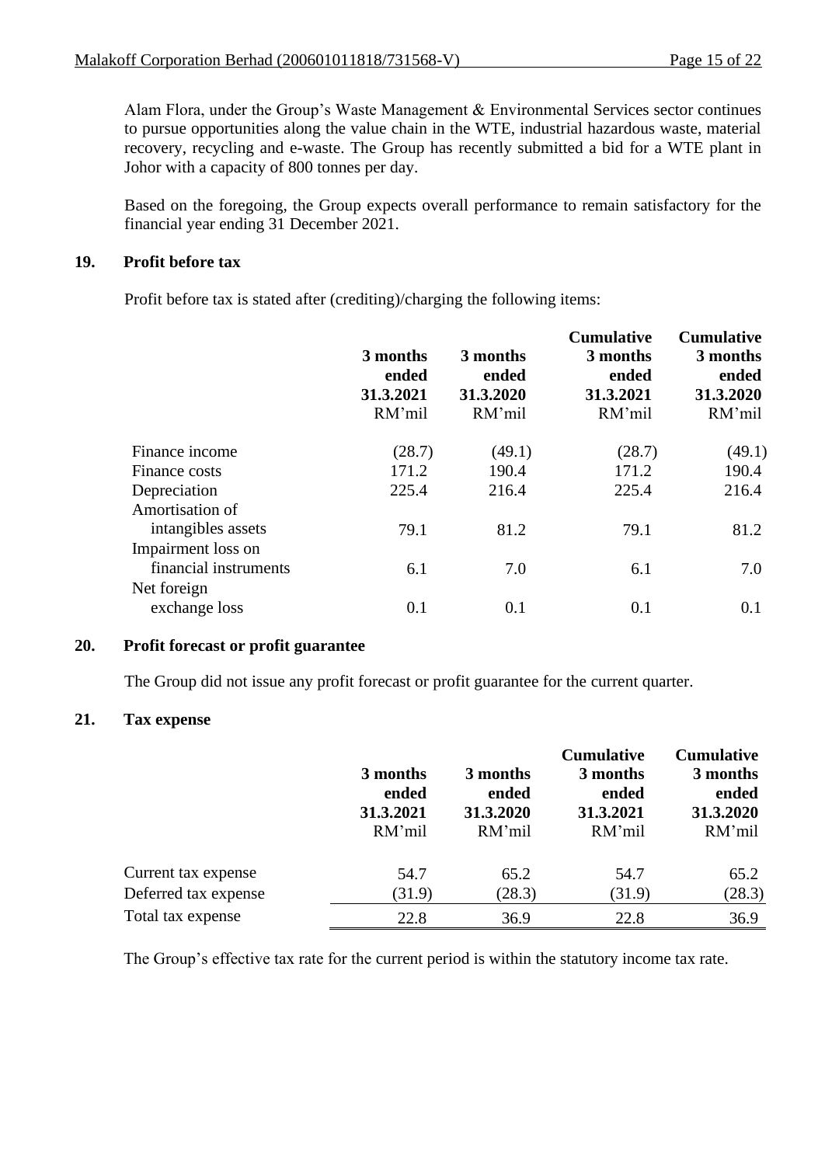Alam Flora, under the Group's Waste Management & Environmental Services sector continues to pursue opportunities along the value chain in the WTE, industrial hazardous waste, material recovery, recycling and e-waste. The Group has recently submitted a bid for a WTE plant in Johor with a capacity of 800 tonnes per day.

Based on the foregoing, the Group expects overall performance to remain satisfactory for the financial year ending 31 December 2021.

## **19. Profit before tax**

Profit before tax is stated after (crediting)/charging the following items:

|                       | 3 months<br>ended<br>31.3.2021<br>RM'mil | 3 months<br>ended<br>31.3.2020<br>RM'mil | <b>Cumulative</b><br>3 months<br>ended<br>31.3.2021<br>RM'mil | <b>Cumulative</b><br>3 months<br>ended<br>31.3.2020<br>RM'mil |
|-----------------------|------------------------------------------|------------------------------------------|---------------------------------------------------------------|---------------------------------------------------------------|
| Finance income        | (28.7)                                   | (49.1)                                   | (28.7)                                                        | (49.1)                                                        |
| Finance costs         | 171.2                                    | 190.4                                    | 171.2                                                         | 190.4                                                         |
| Depreciation          | 225.4                                    | 216.4                                    | 225.4                                                         | 216.4                                                         |
| Amortisation of       |                                          |                                          |                                                               |                                                               |
| intangibles assets    | 79.1                                     | 81.2                                     | 79.1                                                          | 81.2                                                          |
| Impairment loss on    |                                          |                                          |                                                               |                                                               |
| financial instruments | 6.1                                      | 7.0                                      | 6.1                                                           | 7.0                                                           |
| Net foreign           |                                          |                                          |                                                               |                                                               |
| exchange loss         | 0.1                                      | 0.1                                      | 0.1                                                           | 0.1                                                           |
|                       |                                          |                                          |                                                               |                                                               |

## **20. Profit forecast or profit guarantee**

The Group did not issue any profit forecast or profit guarantee for the current quarter.

## **21. Tax expense**

|                      | 3 months<br>ended<br>31.3.2021<br>RM'mil | 3 months<br>ended<br>31.3.2020<br>RM'mil | <b>Cumulative</b><br>3 months<br>ended<br>31.3.2021<br>RM'mil | <b>Cumulative</b><br>3 months<br>ended<br>31.3.2020<br>RM'mil |
|----------------------|------------------------------------------|------------------------------------------|---------------------------------------------------------------|---------------------------------------------------------------|
| Current tax expense  | 54.7                                     | 65.2                                     | 54.7                                                          | 65.2                                                          |
| Deferred tax expense | (31.9)                                   | (28.3)                                   | (31.9)                                                        | (28.3)                                                        |
| Total tax expense    | 22.8                                     | 36.9                                     | 22.8                                                          | 36.9                                                          |

The Group's effective tax rate for the current period is within the statutory income tax rate.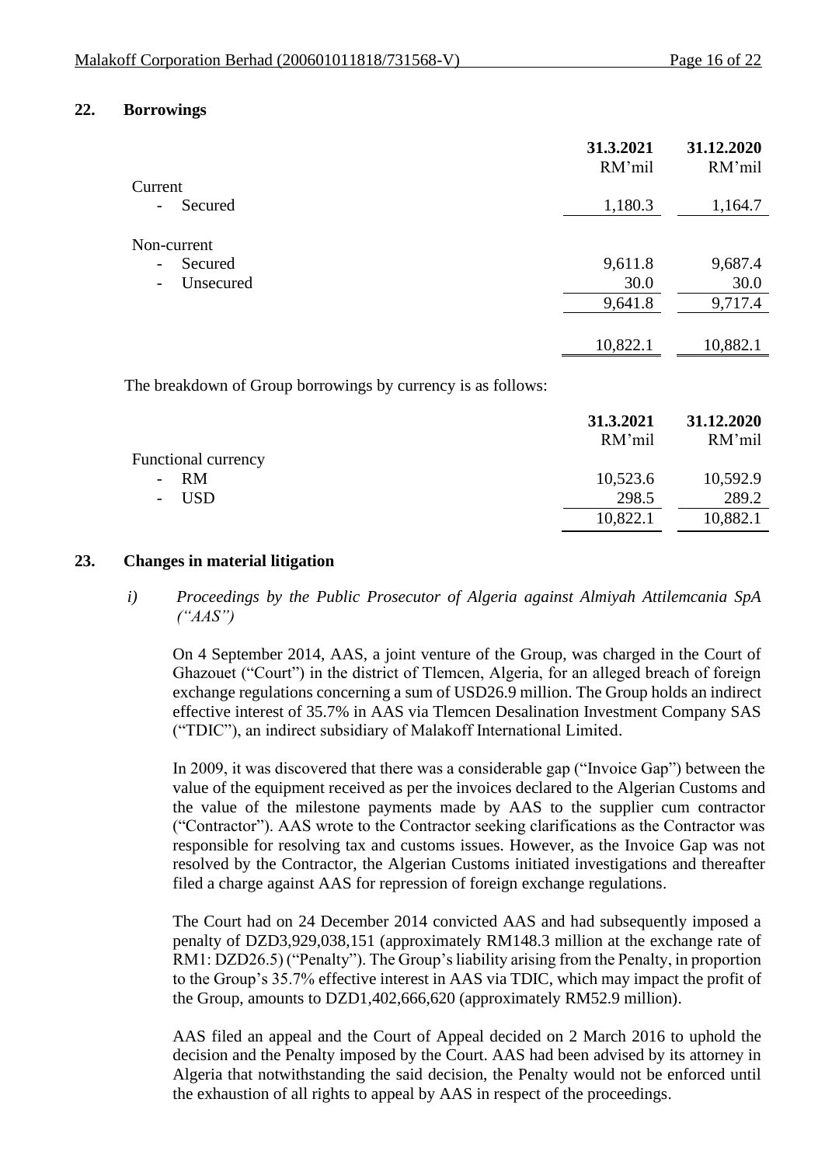#### **22. Borrowings**

|                                       | 31.3.2021<br>RM'mil | 31.12.2020<br>RM'mil |
|---------------------------------------|---------------------|----------------------|
| Current                               |                     |                      |
| Secured<br>$\overline{\phantom{a}}$   | 1,180.3             | 1,164.7              |
| Non-current                           |                     |                      |
| Secured<br>$\overline{\phantom{a}}$   | 9,611.8             | 9,687.4              |
| Unsecured<br>$\overline{\phantom{a}}$ | 30.0                | 30.0                 |
|                                       | 9,641.8             | 9,717.4              |
|                                       |                     |                      |
|                                       | 10,822.1            | 10,882.1             |

The breakdown of Group borrowings by currency is as follows:

| 31.3.2021<br>RM'mil | 31.12.2020<br>RM'mil |
|---------------------|----------------------|
|                     |                      |
| 10,523.6            | 10,592.9             |
| 298.5               | 289.2                |
| 10,822.1            | 10,882.1             |
|                     |                      |

#### **23. Changes in material litigation**

*i) Proceedings by the Public Prosecutor of Algeria against Almiyah Attilemcania SpA ("AAS")*

On 4 September 2014, AAS, a joint venture of the Group, was charged in the Court of Ghazouet ("Court") in the district of Tlemcen, Algeria, for an alleged breach of foreign exchange regulations concerning a sum of USD26.9 million. The Group holds an indirect effective interest of 35.7% in AAS via Tlemcen Desalination Investment Company SAS ("TDIC"), an indirect subsidiary of Malakoff International Limited.

In 2009, it was discovered that there was a considerable gap ("Invoice Gap") between the value of the equipment received as per the invoices declared to the Algerian Customs and the value of the milestone payments made by AAS to the supplier cum contractor ("Contractor"). AAS wrote to the Contractor seeking clarifications as the Contractor was responsible for resolving tax and customs issues. However, as the Invoice Gap was not resolved by the Contractor, the Algerian Customs initiated investigations and thereafter filed a charge against AAS for repression of foreign exchange regulations.

The Court had on 24 December 2014 convicted AAS and had subsequently imposed a penalty of DZD3,929,038,151 (approximately RM148.3 million at the exchange rate of RM1: DZD26.5) ("Penalty"). The Group's liability arising from the Penalty, in proportion to the Group's 35.7% effective interest in AAS via TDIC, which may impact the profit of the Group, amounts to DZD1,402,666,620 (approximately RM52.9 million).

AAS filed an appeal and the Court of Appeal decided on 2 March 2016 to uphold the decision and the Penalty imposed by the Court. AAS had been advised by its attorney in Algeria that notwithstanding the said decision, the Penalty would not be enforced until the exhaustion of all rights to appeal by AAS in respect of the proceedings.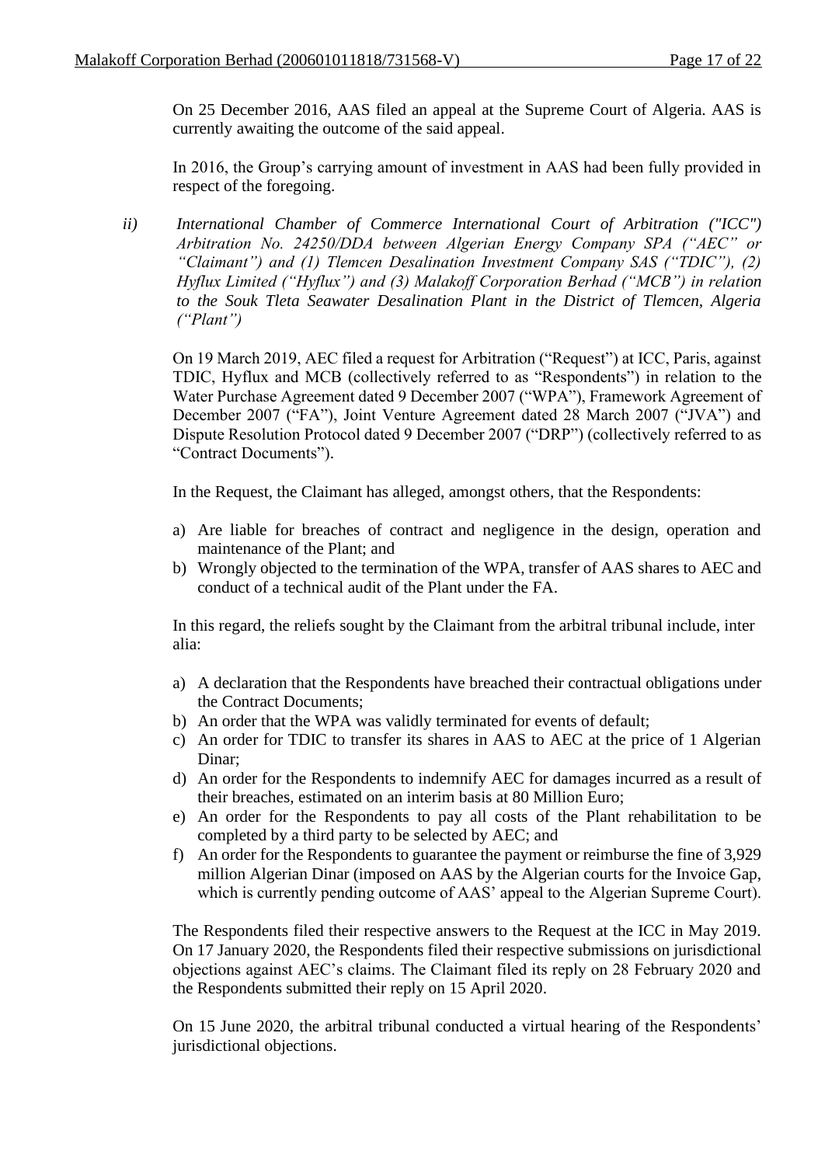On 25 December 2016, AAS filed an appeal at the Supreme Court of Algeria. AAS is currently awaiting the outcome of the said appeal.

In 2016, the Group's carrying amount of investment in AAS had been fully provided in respect of the foregoing.

*ii) International Chamber of Commerce International Court of Arbitration ("ICC") Arbitration No. 24250/DDA between Algerian Energy Company SPA ("AEC" or "Claimant") and (1) Tlemcen Desalination Investment Company SAS ("TDIC"), (2) Hyflux Limited ("Hyflux") and (3) Malakoff Corporation Berhad ("MCB") in relation to the Souk Tleta Seawater Desalination Plant in the District of Tlemcen, Algeria ("Plant")*

On 19 March 2019, AEC filed a request for Arbitration ("Request") at ICC, Paris, against TDIC, Hyflux and MCB (collectively referred to as "Respondents") in relation to the Water Purchase Agreement dated 9 December 2007 ("WPA"), Framework Agreement of December 2007 ("FA"), Joint Venture Agreement dated 28 March 2007 ("JVA") and Dispute Resolution Protocol dated 9 December 2007 ("DRP") (collectively referred to as "Contract Documents").

In the Request, the Claimant has alleged, amongst others, that the Respondents:

- a) Are liable for breaches of contract and negligence in the design, operation and maintenance of the Plant; and
- b) Wrongly objected to the termination of the WPA, transfer of AAS shares to AEC and conduct of a technical audit of the Plant under the FA.

In this regard, the reliefs sought by the Claimant from the arbitral tribunal include, inter alia:

- a) A declaration that the Respondents have breached their contractual obligations under the Contract Documents;
- b) An order that the WPA was validly terminated for events of default;
- c) An order for TDIC to transfer its shares in AAS to AEC at the price of 1 Algerian Dinar;
- d) An order for the Respondents to indemnify AEC for damages incurred as a result of their breaches, estimated on an interim basis at 80 Million Euro;
- e) An order for the Respondents to pay all costs of the Plant rehabilitation to be completed by a third party to be selected by AEC; and
- f) An order for the Respondents to guarantee the payment or reimburse the fine of 3,929 million Algerian Dinar (imposed on AAS by the Algerian courts for the Invoice Gap, which is currently pending outcome of AAS' appeal to the Algerian Supreme Court).

The Respondents filed their respective answers to the Request at the ICC in May 2019. On 17 January 2020, the Respondents filed their respective submissions on jurisdictional objections against AEC's claims. The Claimant filed its reply on 28 February 2020 and the Respondents submitted their reply on 15 April 2020.

On 15 June 2020, the arbitral tribunal conducted a virtual hearing of the Respondents' jurisdictional objections.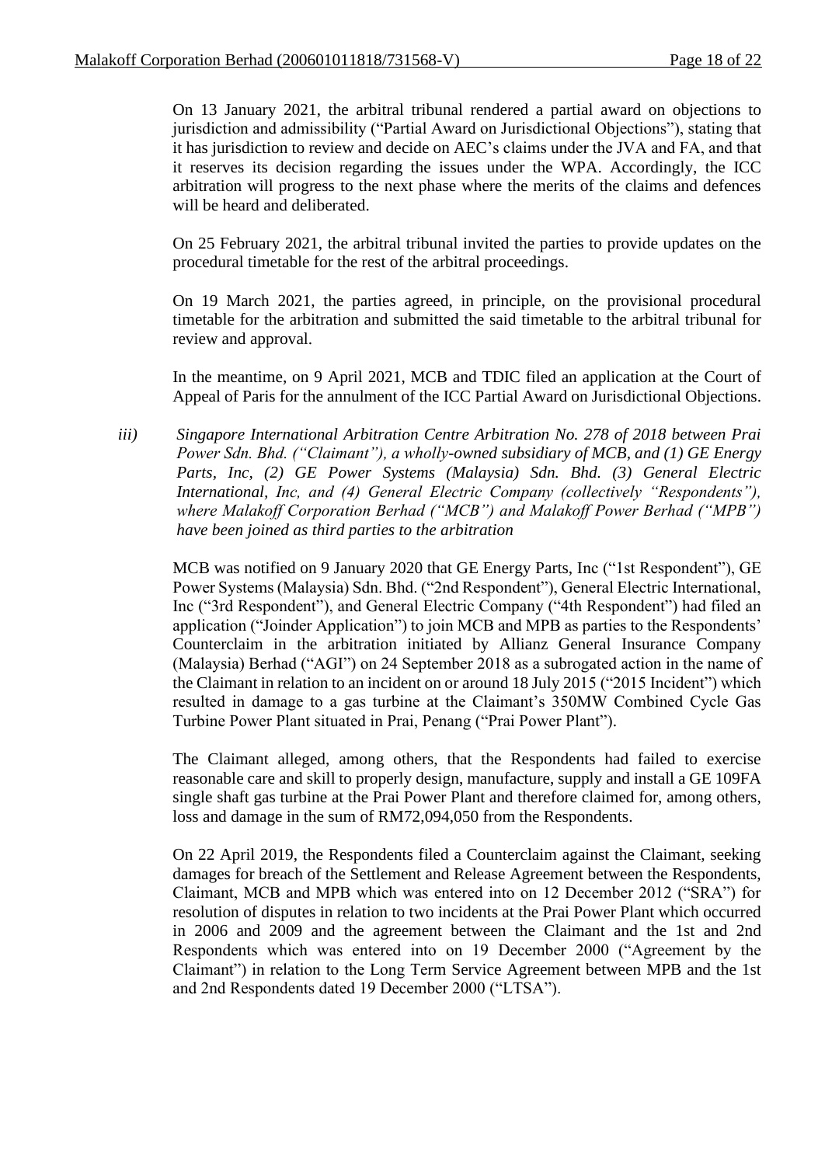On 13 January 2021, the arbitral tribunal rendered a partial award on objections to jurisdiction and admissibility ("Partial Award on Jurisdictional Objections"), stating that it has jurisdiction to review and decide on AEC's claims under the JVA and FA, and that it reserves its decision regarding the issues under the WPA. Accordingly, the ICC arbitration will progress to the next phase where the merits of the claims and defences will be heard and deliberated.

On 25 February 2021, the arbitral tribunal invited the parties to provide updates on the procedural timetable for the rest of the arbitral proceedings.

On 19 March 2021, the parties agreed, in principle, on the provisional procedural timetable for the arbitration and submitted the said timetable to the arbitral tribunal for review and approval.

In the meantime, on 9 April 2021, MCB and TDIC filed an application at the Court of Appeal of Paris for the annulment of the ICC Partial Award on Jurisdictional Objections.

*iii) Singapore International Arbitration Centre Arbitration No. 278 of 2018 between Prai Power Sdn. Bhd. ("Claimant"), a wholly-owned subsidiary of MCB, and (1) GE Energy Parts, Inc, (2) GE Power Systems (Malaysia) Sdn. Bhd. (3) General Electric International, Inc, and (4) General Electric Company (collectively "Respondents"), where Malakoff Corporation Berhad ("MCB") and Malakoff Power Berhad ("MPB") have been joined as third parties to the arbitration*

MCB was notified on 9 January 2020 that GE Energy Parts, Inc ("1st Respondent"), GE Power Systems (Malaysia) Sdn. Bhd. ("2nd Respondent"), General Electric International, Inc ("3rd Respondent"), and General Electric Company ("4th Respondent") had filed an application ("Joinder Application") to join MCB and MPB as parties to the Respondents' Counterclaim in the arbitration initiated by Allianz General Insurance Company (Malaysia) Berhad ("AGI") on 24 September 2018 as a subrogated action in the name of the Claimant in relation to an incident on or around 18 July 2015 ("2015 Incident") which resulted in damage to a gas turbine at the Claimant's 350MW Combined Cycle Gas Turbine Power Plant situated in Prai, Penang ("Prai Power Plant").

The Claimant alleged, among others, that the Respondents had failed to exercise reasonable care and skill to properly design, manufacture, supply and install a GE 109FA single shaft gas turbine at the Prai Power Plant and therefore claimed for, among others, loss and damage in the sum of RM72,094,050 from the Respondents.

On 22 April 2019, the Respondents filed a Counterclaim against the Claimant, seeking damages for breach of the Settlement and Release Agreement between the Respondents, Claimant, MCB and MPB which was entered into on 12 December 2012 ("SRA") for resolution of disputes in relation to two incidents at the Prai Power Plant which occurred in 2006 and 2009 and the agreement between the Claimant and the 1st and 2nd Respondents which was entered into on 19 December 2000 ("Agreement by the Claimant") in relation to the Long Term Service Agreement between MPB and the 1st and 2nd Respondents dated 19 December 2000 ("LTSA").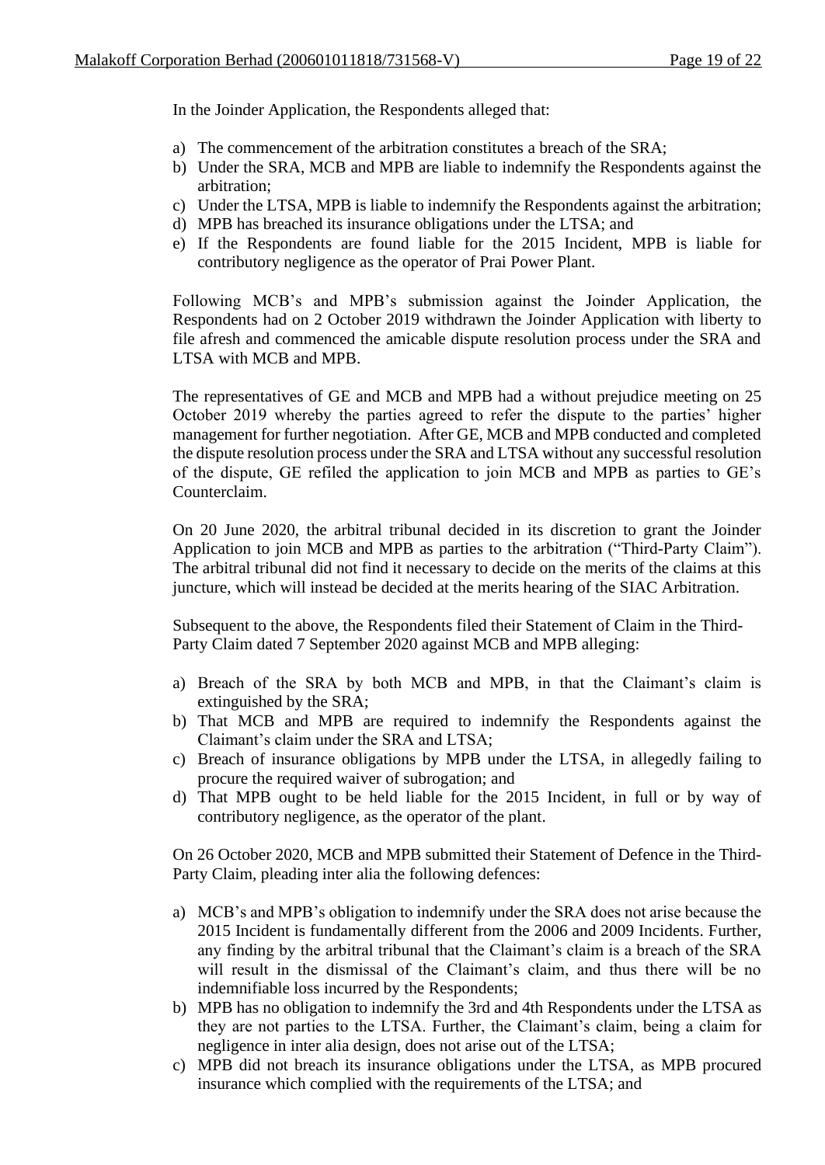In the Joinder Application, the Respondents alleged that:

- a) The commencement of the arbitration constitutes a breach of the SRA;
- b) Under the SRA, MCB and MPB are liable to indemnify the Respondents against the arbitration;
- c) Under the LTSA, MPB is liable to indemnify the Respondents against the arbitration;
- d) MPB has breached its insurance obligations under the LTSA; and
- e) If the Respondents are found liable for the 2015 Incident, MPB is liable for contributory negligence as the operator of Prai Power Plant.

Following MCB's and MPB's submission against the Joinder Application, the Respondents had on 2 October 2019 withdrawn the Joinder Application with liberty to file afresh and commenced the amicable dispute resolution process under the SRA and LTSA with MCB and MPB.

The representatives of GE and MCB and MPB had a without prejudice meeting on 25 October 2019 whereby the parties agreed to refer the dispute to the parties' higher management for further negotiation. After GE, MCB and MPB conducted and completed the dispute resolution process under the SRA and LTSA without any successful resolution of the dispute, GE refiled the application to join MCB and MPB as parties to GE's Counterclaim.

On 20 June 2020, the arbitral tribunal decided in its discretion to grant the Joinder Application to join MCB and MPB as parties to the arbitration ("Third-Party Claim"). The arbitral tribunal did not find it necessary to decide on the merits of the claims at this juncture, which will instead be decided at the merits hearing of the SIAC Arbitration.

Subsequent to the above, the Respondents filed their Statement of Claim in the Third-Party Claim dated 7 September 2020 against MCB and MPB alleging:

- a) Breach of the SRA by both MCB and MPB, in that the Claimant's claim is extinguished by the SRA;
- b) That MCB and MPB are required to indemnify the Respondents against the Claimant's claim under the SRA and LTSA;
- c) Breach of insurance obligations by MPB under the LTSA, in allegedly failing to procure the required waiver of subrogation; and
- d) That MPB ought to be held liable for the 2015 Incident, in full or by way of contributory negligence, as the operator of the plant.

On 26 October 2020, MCB and MPB submitted their Statement of Defence in the Third-Party Claim, pleading inter alia the following defences:

- a) MCB's and MPB's obligation to indemnify under the SRA does not arise because the 2015 Incident is fundamentally different from the 2006 and 2009 Incidents. Further, any finding by the arbitral tribunal that the Claimant's claim is a breach of the SRA will result in the dismissal of the Claimant's claim, and thus there will be no indemnifiable loss incurred by the Respondents;
- b) MPB has no obligation to indemnify the 3rd and 4th Respondents under the LTSA as they are not parties to the LTSA. Further, the Claimant's claim, being a claim for negligence in inter alia design, does not arise out of the LTSA;
- c) MPB did not breach its insurance obligations under the LTSA, as MPB procured insurance which complied with the requirements of the LTSA; and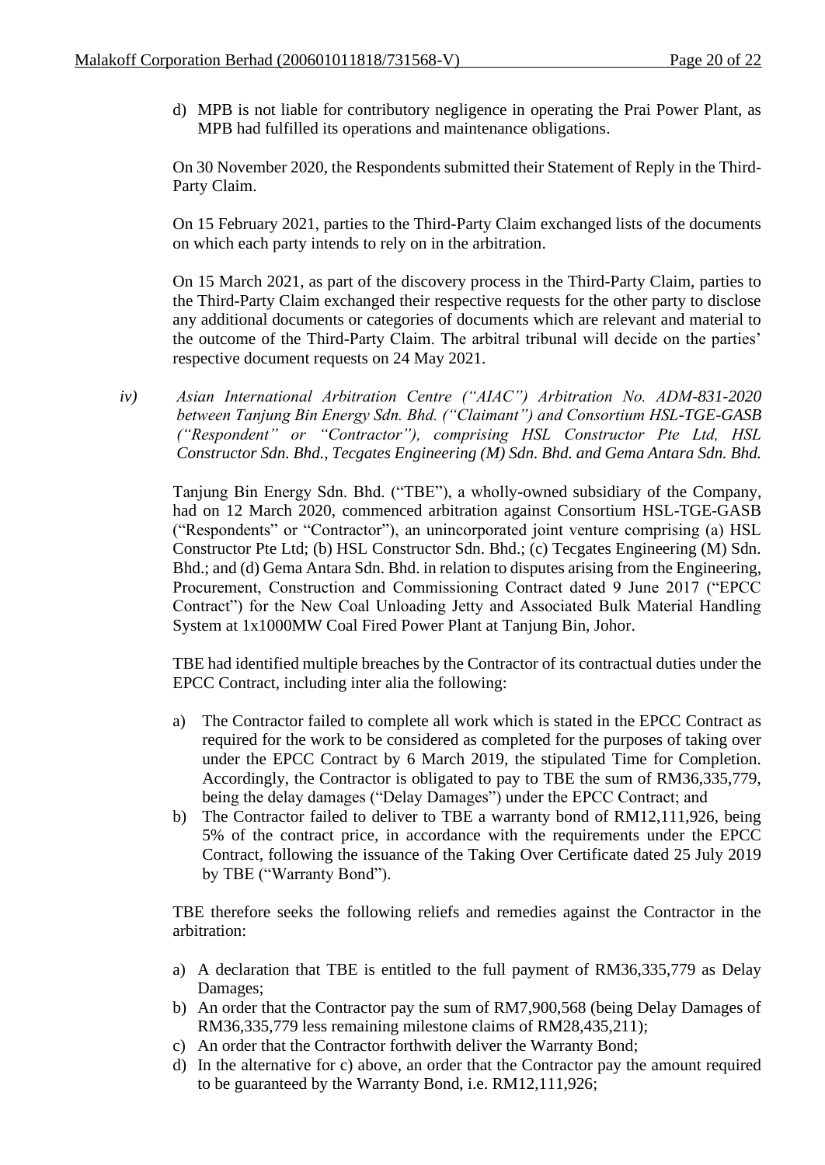d) MPB is not liable for contributory negligence in operating the Prai Power Plant, as MPB had fulfilled its operations and maintenance obligations.

On 30 November 2020, the Respondents submitted their Statement of Reply in the Third-Party Claim.

On 15 February 2021, parties to the Third-Party Claim exchanged lists of the documents on which each party intends to rely on in the arbitration.

On 15 March 2021, as part of the discovery process in the Third-Party Claim, parties to the Third-Party Claim exchanged their respective requests for the other party to disclose any additional documents or categories of documents which are relevant and material to the outcome of the Third-Party Claim. The arbitral tribunal will decide on the parties' respective document requests on 24 May 2021.

*iv) Asian International Arbitration Centre ("AIAC") Arbitration No. ADM-831-2020 between Tanjung Bin Energy Sdn. Bhd. ("Claimant") and Consortium HSL-TGE-GASB ("Respondent" or "Contractor"), comprising HSL Constructor Pte Ltd, HSL Constructor Sdn. Bhd., Tecgates Engineering (M) Sdn. Bhd. and Gema Antara Sdn. Bhd.*

Tanjung Bin Energy Sdn. Bhd. ("TBE"), a wholly-owned subsidiary of the Company, had on 12 March 2020, commenced arbitration against Consortium HSL-TGE-GASB ("Respondents" or "Contractor"), an unincorporated joint venture comprising (a) HSL Constructor Pte Ltd; (b) HSL Constructor Sdn. Bhd.; (c) Tecgates Engineering (M) Sdn. Bhd.; and (d) Gema Antara Sdn. Bhd. in relation to disputes arising from the Engineering, Procurement, Construction and Commissioning Contract dated 9 June 2017 ("EPCC Contract") for the New Coal Unloading Jetty and Associated Bulk Material Handling System at 1x1000MW Coal Fired Power Plant at Tanjung Bin, Johor.

TBE had identified multiple breaches by the Contractor of its contractual duties under the EPCC Contract, including inter alia the following:

- a) The Contractor failed to complete all work which is stated in the EPCC Contract as required for the work to be considered as completed for the purposes of taking over under the EPCC Contract by 6 March 2019, the stipulated Time for Completion. Accordingly, the Contractor is obligated to pay to TBE the sum of RM36,335,779, being the delay damages ("Delay Damages") under the EPCC Contract; and
- b) The Contractor failed to deliver to TBE a warranty bond of RM12,111,926, being 5% of the contract price, in accordance with the requirements under the EPCC Contract, following the issuance of the Taking Over Certificate dated 25 July 2019 by TBE ("Warranty Bond").

TBE therefore seeks the following reliefs and remedies against the Contractor in the arbitration:

- a) A declaration that TBE is entitled to the full payment of RM36,335,779 as Delay Damages;
- b) An order that the Contractor pay the sum of RM7,900,568 (being Delay Damages of RM36,335,779 less remaining milestone claims of RM28,435,211);
- c) An order that the Contractor forthwith deliver the Warranty Bond;
- d) In the alternative for c) above, an order that the Contractor pay the amount required to be guaranteed by the Warranty Bond, i.e. RM12,111,926;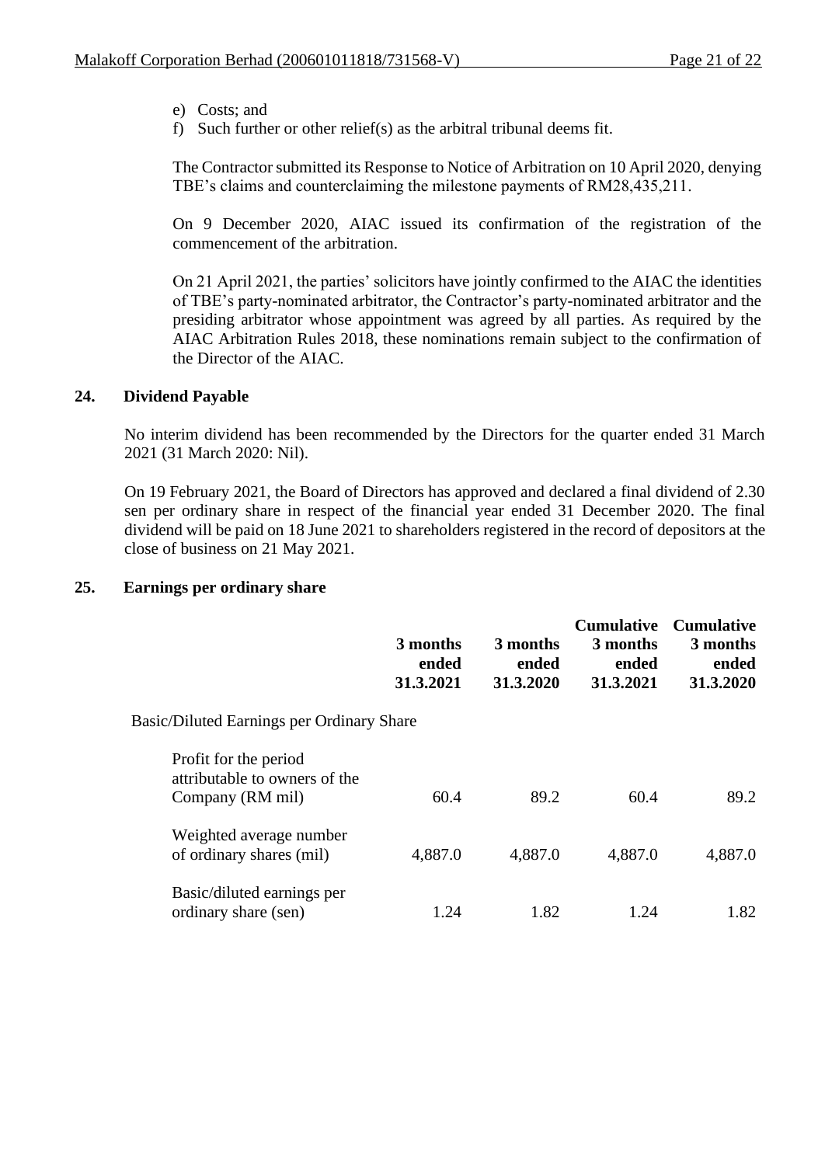- e) Costs; and
- f) Such further or other relief(s) as the arbitral tribunal deems fit.

The Contractor submitted its Response to Notice of Arbitration on 10 April 2020, denying TBE's claims and counterclaiming the milestone payments of RM28,435,211.

On 9 December 2020, AIAC issued its confirmation of the registration of the commencement of the arbitration.

On 21 April 2021, the parties' solicitors have jointly confirmed to the AIAC the identities of TBE's party-nominated arbitrator, the Contractor's party-nominated arbitrator and the presiding arbitrator whose appointment was agreed by all parties. As required by the AIAC Arbitration Rules 2018, these nominations remain subject to the confirmation of the Director of the AIAC.

## **24. Dividend Payable**

No interim dividend has been recommended by the Directors for the quarter ended 31 March 2021 (31 March 2020: Nil).

On 19 February 2021, the Board of Directors has approved and declared a final dividend of 2.30 sen per ordinary share in respect of the financial year ended 31 December 2020. The final dividend will be paid on 18 June 2021 to shareholders registered in the record of depositors at the close of business on 21 May 2021.

## **25. Earnings per ordinary share**

|                                                                            | 3 months<br>ended<br>31.3.2021 | 3 months<br>ended<br>31.3.2020 | <b>Cumulative</b><br>3 months<br>ended<br>31.3.2021 | <b>Cumulative</b><br>3 months<br>ended<br>31.3.2020 |
|----------------------------------------------------------------------------|--------------------------------|--------------------------------|-----------------------------------------------------|-----------------------------------------------------|
| Basic/Diluted Earnings per Ordinary Share                                  |                                |                                |                                                     |                                                     |
| Profit for the period<br>attributable to owners of the<br>Company (RM mil) | 60.4                           | 89.2                           | 60.4                                                | 89.2                                                |
| Weighted average number<br>of ordinary shares (mil)                        | 4,887.0                        | 4,887.0                        | 4,887.0                                             | 4,887.0                                             |
| Basic/diluted earnings per<br>ordinary share (sen)                         | 1.24                           | 1.82                           | 1.24                                                | 1.82                                                |